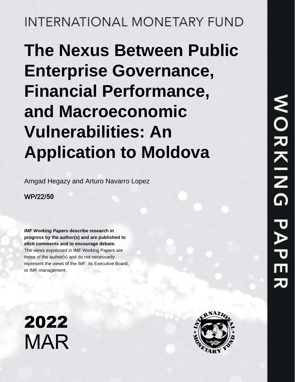**INTERNATIONAL MONETARY FUND** 

# **The Nexus Between Public Enterprise Governance, Financial Performance, and Macroeconomic Vulnerabilities: An Application to Moldova**

Amgad Hegazy and Arturo Navarro Lopez

### WP/22**/50**

*IMF Working Papers* **describe research in progress by the author(s) and are published to elicit comments and to encourage debate.**  The views expressed in IMF Working Papers are those of the author(s) and do not necessarily represent the views of the IMF, its Executive Board, or IMF management.



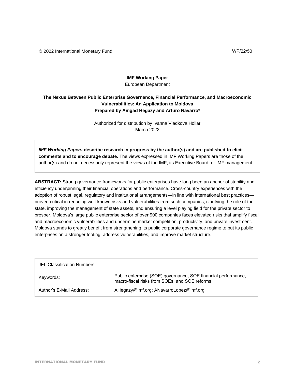© 2022 International Monetary Fund WP/22/50

#### **IMF Working Paper** European Department

#### **The Nexus Between Public Enterprise Governance, Financial Performance, and Macroeconomic Vulnerabilities: An Application to Moldova Prepared by Amgad Hegazy and Arturo Navarro\***

Authorized for distribution by Ivanna Vladkova Hollar March 2022

*IMF Working Papers* **describe research in progress by the author(s) and are published to elicit comments and to encourage debate.** The views expressed in IMF Working Papers are those of the author(s) and do not necessarily represent the views of the IMF, its Executive Board, or IMF management.

**ABSTRACT:** Strong governance frameworks for public enterprises have long been an anchor of stability and efficiency underpinning their financial operations and performance. Cross-country experiences with the adoption of robust legal, regulatory and institutional arrangements—in line with international best practices proved critical in reducing well-known risks and vulnerabilities from such companies, clarifying the role of the state, improving the management of state assets, and ensuring a level playing field for the private sector to prosper. Moldova's large public enterprise sector of over 900 companies faces elevated risks that amplify fiscal and macroeconomic vulnerabilities and undermine market competition, productivity, and private investment. Moldova stands to greatly benefit from strengthening its public corporate governance regime to put its public enterprises on a stronger footing, address vulnerabilities, and improve market structure.

| <b>JEL Classification Numbers:</b> |                                                                                                                                             |
|------------------------------------|---------------------------------------------------------------------------------------------------------------------------------------------|
| Keywords:                          | Public enterprise (SOE) governance, SOE financial performance,<br>macro-fiscal risks from SOEs, SOE reforms, public financial<br>management |
| \$XWKRUY(0DLO\$GGUHVV              | AHegazy@imf.org; ANavarroLopez@imf.org                                                                                                      |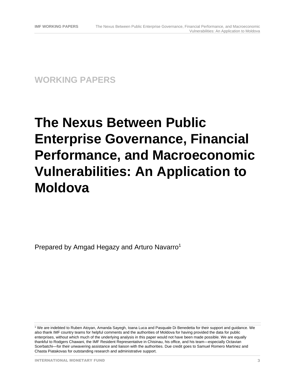**WORKING PAPERS**

## **The Nexus Between Public Enterprise Governance, Financial Performance, and Macroeconomic Vulnerabilities: An Application to Moldova**

Prepared by Amgad Hegazy and Arturo Navarro<sup>1</sup>

<sup>1</sup> We are indebted to Ruben Atoyan, Amanda Sayegh, Ioana Luca and Pasquale Di Benedetta for their support and guidance. We also thank IMF country teams for helpful comments and the authorities of Moldova for having provided the data for public enterprises, without which much of the underlying analysis in this paper would not have been made possible. We are equally thankful to Rodgers Chawani, the IMF Resident Representative in Chisinau, his office, and his team—especially Octavian Scerbatchi—for their unwavering assistance and liaison with the authorities. Due credit goes to Samuel Romero Martinez and Chasta Piatakovas for outstanding research and administrative support.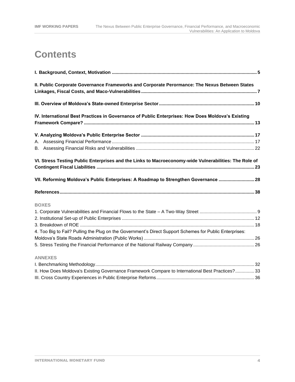### **Contents**

| II. Public Corporate Governance Frameworks and Corporate Perormance: The Nexus Between States           |  |
|---------------------------------------------------------------------------------------------------------|--|
|                                                                                                         |  |
| IV. International Best Practices in Governance of Public Enterprises: How Does Moldova's Existing       |  |
|                                                                                                         |  |
|                                                                                                         |  |
|                                                                                                         |  |
| VI. Stress Testing Public Enterprises and the Links to Macroeconomy-wide Vulnerabilities: The Role of   |  |
| VII. Reforming Moldova's Public Enterprises: A Roadmap to Strengthen Governance  28                     |  |
|                                                                                                         |  |
| <b>BOXES</b>                                                                                            |  |
|                                                                                                         |  |
|                                                                                                         |  |
|                                                                                                         |  |
|                                                                                                         |  |
| 4. Too Big to Fail? Pulling the Plug on the Government's Direct Support Schemes for Public Enterprises: |  |
|                                                                                                         |  |
| <b>ANNEXES</b>                                                                                          |  |
|                                                                                                         |  |
| II. How Does Moldova's Existing Governance Framework Compare to International Best Practices? 33        |  |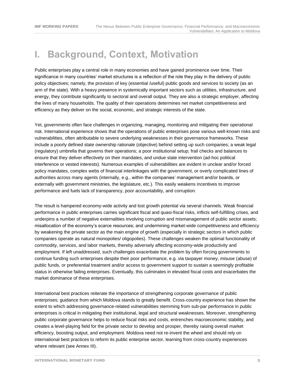### **I. Background, Context, Motivation**

Public enterprises play a central role in many economies and have gained prominence over time. Their significance in many countries' market structures is a reflection of the role they play in the delivery of public policy objectives; namely, the provision of key (essential /useful) public goods and services to society (as an arm of the state). With a heavy presence in systemically important sectors such as utilities, infrastructure, and energy, they contribute significantly to sectoral and overall output. They are also a strategic employer, affecting the lives of many households. The quality of their operations determines net market competitiveness and efficiency as they deliver on the social, economic, and strategic interests of the state.

Yet, governments often face challenges in organizing, managing, monitoring and mitigating their operational risk. International experience shows that the operations of public enterprises pose various well-known risks and vulnerabilities, often attributable to severe underlying weaknesses in their governance frameworks. These include a poorly defined state ownership rationale (objective) behind setting up such companies; a weak legal (regulatory) umbrella that governs their operations; a poor institutional setup; frail checks and balances to ensure that they deliver effectively on their mandates, and undue state intervention (ad-hoc political interference or vested interests). Numerous examples of vulnerabilities are evident in unclear and/or forced policy mandates, complex webs of financial interlinkages with the government, or overly complicated lines of authorities across many agents (internally, e.g., within the companies' management and/or boards, or externally with government ministries, the legislature, etc.). This easily weakens incentives to improve performance and fuels lack of transparency, poor accountability, and corruption.

The result is hampered economy-wide activity and lost growth potential via several channels. Weak financial performance in public enterprises carries significant fiscal and quasi-fiscal risks, inflicts self-fulfilling crises, and underpins a number of negative externalities involving corruption and mismanagement of public sector assets; misallocation of the economy's scarce resources; and undermining market-wide competitiveness and efficiency by weakening the private sector as the main engine of growth (especially in strategic sectors in which public companies operate as natural monopolies/ oligopolies). These challenges weaken the optimal functionality of commodity, services, and labor markets, thereby adversely affecting economy-wide productivity and employment. If left unaddressed, such challenges exacerbate the problem by often forcing governments to continue funding such enterprises despite their poor performance, e.g. via taxpayer money, misuse (abuse) of public funds, or preferential treatment and/or access to government support to sustain a seemingly profitable status in otherwise failing enterprises. Eventually, this culminates in elevated fiscal costs and exacerbates the market dominance of these enterprises.

International best practices reiterate the importance of strengthening corporate governance of public enterprises; guidance from which Moldova stands to greatly benefit. Cross-country experience has shown the extent to which addressing governance-related vulnerabilities stemming from sub-par performance in public enterprises is critical in mitigating their institutional, legal and structural weaknesses. Moreover, strengthening public corporate governance helps to reduce fiscal risks and costs, entrenches macroeconomic stability, and creates a level-playing field for the private sector to develop and prosper, thereby raising overall market efficiency, boosting output, and employment. Moldova need not re-invent the wheel and should rely on international best practices to reform its public enterprise sector, learning from cross-country experiences where relevant (see Annex III).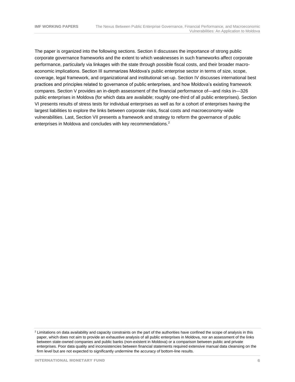The paper is organized into the following sections. Section II discusses the importance of strong public corporate governance frameworks and the extent to which weaknesses in such frameworks affect corporate performance, particularly via linkages with the state through possible fiscal costs, and their broader macroeconomic implications. Section III summarizes Moldova's public enterprise sector in terms of size, scope, coverage, legal framework, and organizational and institutional set-up. Section IV discusses international best practices and principles related to governance of public enterprises, and how Moldova's existing framework compares. Section V provides an in-depth assessment of the financial performance of—and risks in—326 public enterprises in Moldova (for which data are available; roughly one-third of all public enterprises). Section VI presents results of stress tests for individual enterprises as well as for a cohort of enterprises having the largest liabilities to explore the links between corporate risks, fiscal costs and macroeconomy-wide vulnerabilities. Last, Section VII presents a framework and strategy to reform the governance of public enterprises in Moldova and concludes with key recommendations.<sup>2</sup>

 $2$  Limitations on data availability and capacity constraints on the part of the authorities have confined the scope of analysis in this paper, which does not aim to provide an exhaustive analysis of all public enterprises in Moldova, nor an assessment of the links between state-owned companies and public banks (non-existent in Moldova) or a comparison between public and private enterprises. Poor data quality and inconsistencies between financial statements required extensive manual data cleansing on the firm level but are not expected to significantly undermine the accuracy of bottom-line results.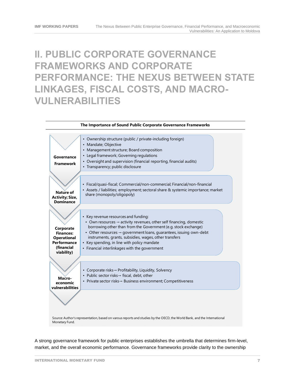### **II. PUBLIC CORPORATE GOVERNANCE FRAMEWORKS AND CORPORATE PERFORMANCE: THE NEXUS BETWEEN STATE LINKAGES, FISCAL COSTS, AND MACRO-VULNERABILITIES**



A strong governance framework for public enterprises establishes the umbrella that determines firm-level,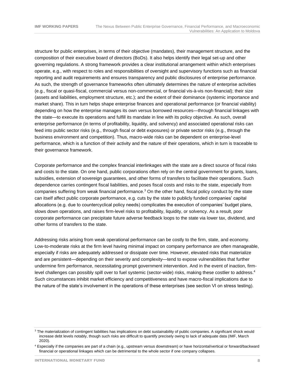structure for public enterprises, in terms of their objective (mandates), their management structure, and the composition of their executive board of directors (BoDs). It also helps identify their legal set-up and other governing regulations. A strong framework provides a clear institutional arrangement within which enterprises operate, e.g., with respect to roles and responsibilities of oversight and supervisory functions such as financial reporting and audit requirements and ensures transparency and public disclosures of enterprise performance. As such, the strength of governance frameworks often ultimately determines the nature of enterprise activities (e.g., fiscal or quasi-fiscal, commercial versus non-commercial, or financial vis-à-vis non-financial); their size (assets and liabilities, employment structure, etc.); and the extent of their dominance (systemic importance and market share). This in turn helps shape enterprise finances and operational performance (or financial viability) depending on how the enterprise manages its own versus borrowed resources—through financial linkages with the state—to execute its operations and fulfill its mandate in line with its policy objective. As such, overall enterprise performance (in terms of profitability, liquidity, and solvency) and associated operational risks can feed into public sector risks (e.g., through fiscal or debt exposures) or private sector risks (e.g., through the business environment and competition). Thus, macro-wide risks can be dependent on enterprise-level performance, which is a function of their activity and the nature of their operations, which in turn is traceable to their governance framework.

Corporate performance and the complex financial interlinkages with the state are a direct source of fiscal risks and costs to the state. On one hand, public corporations often rely on the central government for grants, loans, subsidies, extension of sovereign guarantees, and other forms of transfers to facilitate their operations. Such dependence carries contingent fiscal liabilities, and poses fiscal costs and risks to the state, especially from companies suffering from weak financial performance.<sup>3</sup> On the other hand, fiscal policy conduct by the state can itself affect public corporate performance, e.g. cuts by the state to publicly funded companies' capital allocations (e.g. due to countercyclical policy needs) complicates the execution of companies' budget plans, slows down operations, and raises firm-level risks to profitability, liquidity, or solvency. As a result, poor corporate performance can precipitate future adverse feedback loops to the state via lower tax, dividend, and other forms of transfers to the state.

Addressing risks arising from weak operational performance can be costly to the firm, state, and economy. Low-to-moderate risks at the firm level having minimal impact on company performance are often manageable, especially if risks are adequately addressed or dissipate over time. However, elevated risks that materialize and are persistent—depending on their severity and complexity—tend to expose vulnerabilities that further undermine firm performance, necessitating prompt government intervention. And in the event of inaction, firmlevel challenges can possibly spill over to fuel systemic (sector-wide) risks, making these costlier to address.<sup>4</sup> Such circumstances inhibit market efficiency and competitiveness and have macro-fiscal implications due to the nature of the state's involvement in the operations of these enterprises (see section VI on stress testing).

<sup>&</sup>lt;sup>3</sup> The materialization of contingent liabilities has implications on debt sustainability of public companies. A significant shock would increase debt levels notably, though such risks are difficult to quantify precisely owing to lack of adequate data (IMF, March 2020).

<sup>4</sup> Especially if the companies are part of a chain (e.g., upstream versus downstream) or have horizontal/vertical or forward/backward financial or operational linkages which can be detrimental to the whole sector if one company collapses.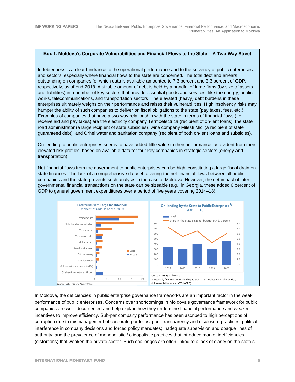#### **Box 1. Moldova's Corporate Vulnerabilities and Financial Flows to the State – A Two-Way Street**

Indebtedness is a clear hindrance to the operational performance and to the solvency of public enterprises and sectors, especially where financial flows to the state are concerned. The total debt and arrears outstanding on companies for which data is available amounted to 7.3 percent and 3.3 percent of GDP, respectively, as of end-2018. A sizable amount of debt is held by a handful of large firms (by size of assets and liabilities) in a number of key sectors that provide essential goods and services, like the energy, public works, telecommunications, and transportation sectors. The elevated (heavy) debt burdens in these enterprises ultimately weighs on their performance and raises their vulnerabilities. High insolvency risks may hamper the ability of such companies to deliver on fiscal obligations to the state (pay taxes, fees, etc.). Examples of companies that have a two-way relationship with the state in terms of financial flows (i.e. receive aid and pay taxes) are the electricity company Termoelectrica (recipient of on-lent loans), the state road administrator (a large recipient of state subsidies), wine company Milesti Mici (a recipient of state guaranteed debt), and Orhei water and sanitation company (recipient of both on-lent loans and subsidies).

On-lending to public enterprises seems to have added little value to their performance, as evident from their elevated risk profiles, based on available data for four key companies in strategic sectors (energy and transportation).

Net financial flows from the government to public enterprises can be high, constituting a large fiscal drain on state finances. The lack of a comprehensive dataset covering the net financial flows between all public companies and the state prevents such analysis in the case of Moldova. However, the net impact of intergovernmental financial transactions on the state can be sizeable (e.g., in Georgia, these added 6 percent of GDP to general government expenditures over a period of five years covering 2014–18).



In Moldova, the deficiencies in public enterprise governance frameworks are an important factor in the weak performance of public enterprises. Concerns over shortcomings in Moldova's governance framework for public companies are well- documented and help explain how they undermine financial performance and weaken incentives to improve efficiency. Sub-par company performance has been ascribed to high perceptions of corruption due to mismanagement of corporate portfolios; poor transparency and disclosure practices; political interference in company decisions and forced policy mandates; inadequate supervision and opaque lines of authority; and the prevalence of monopolistic / oligopolistic practices that introduce market inefficiencies (distortions) that weaken the private sector. Such challenges are often linked to a lack of clarity on the state's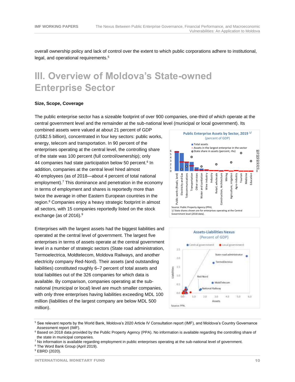overall ownership policy and lack of control over the extent to which public corporations adhere to institutional, legal, and operational requirements.<sup>5</sup>

### **III. Overview of Moldova's State-owned Enterprise Sector**

#### **Size, Scope, Coverage**

The public enterprise sector has a sizeable footprint of over 900 companies, one-third of which operate at the central government level and the remainder at the sub-national level (municipal or local government). Its

combined assets were valued at about 21 percent of GDP (US\$2.5 billion), concentrated in four key sectors: public works, energy, telecom and transportation. In 90 percent of the enterprises operating at the central level, the controlling share of the state was 100 percent (full control/ownership); only 44 companies had state participation below 50 percent.<sup>6</sup> In addition, companies at the central level hired almost 40 employees (as of 2018—about 4 percent of total national employment).<sup>7</sup> This dominance and penetration in the economy in terms of employment and shares is reportedly more than twice the average in other Eastern European countries in the region.<sup>8</sup> Companies enjoy a heavy strategic footprint in almost all sectors, with 15 companies reportedly listed on the stock exchange (as of 2016).<sup>9</sup>

Enterprises with the largest assets had the biggest liabilities and operated at the central level of government. The largest five enterprises in terms of assets operate at the central government level in a number of strategic sectors (State road administration, Termoelectrica, Moldtelecom, Moldova Railways, and another electricity company Red-Nord). Their assets (and outstanding liabilities) constituted roughly 6–7 percent of total assets and total liabilities out of the 326 companies for which data is available. By comparison, companies operating at the subnational (municipal or local) level are much smaller companies, with only three enterprises having liabilities exceeding MDL 100 million (liabilities of the largest company are below MDL 500 million).





<sup>5</sup> See relevant reports by the World Bank, Moldova's 2020 Article IV Consultation report (IMF), and Moldova's Country Governance Assessment report (IMF).

<sup>&</sup>lt;sup>6</sup> Based on 2018 data provided by the Public Property Agency (PPA). No information is available regarding the controlling share of the state in municipal companies.

 $7$  No information is available regarding employment in public enterprises operating at the sub-national level of government.

<sup>8</sup> The Word Bank Group (April 2019).

<sup>9</sup> EBRD (2020).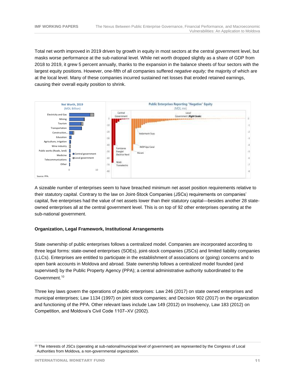Total net worth improved in 2019 driven by growth in equity in most sectors at the central government level, but masks worse performance at the sub-national level. While net worth dropped slightly as a share of GDP from 2018 to 2019, it grew 5 percent annually, thanks to the expansion in the balance sheets of four sectors with the largest equity positions. However, one-fifth of all companies suffered *negative equity;* the majority of which are at the local level. Many of these companies incurred sustained net losses that eroded retained earnings, causing their overall equity position to shrink.



A sizeable number of enterprises seem to have breached minimum net asset position requirements relative to their statutory capital. Contrary to the law on Joint-Stock Companies (JSCs) requirements on companies' capital, five enterprises had the value of net assets lower than their statutory capital—besides another 28 stateowned enterprises all at the central government level. This is on top of 92 other enterprises operating at the sub-national government.

#### **Organization, Legal Framework, Institutional Arrangements**

State ownership of public enterprises follows a centralized model. Companies are incorporated according to three legal forms: state-owned enterprises (SOEs), joint-stock companies (JSCs) and limited liability companies (LLCs). Enterprises are entitled to participate in the establishment of associations or (going) concerns and to open bank accounts in Moldova and abroad. State ownership follows a centralized model founded (and supervised) by the Public Property Agency (PPA); a central administrative authority subordinated to the Government.<sup>10</sup>

Three key laws govern the operations of public enterprises: Law 246 (2017) on state owned enterprises and municipal enterprises; Law 1134 (1997) on joint stock companies; and Decision 902 (2017) on the organization and functioning of the PPA. Other relevant laws include Law 149 (2012) on Insolvency, Law 183 (2012) on Competition, and Moldova's Civil Code 1107–XV (2002).

<sup>&</sup>lt;sup>10</sup> The interests of JSCs (operating at sub-national/municipal level of government) are represented by the Congress of Local Authorities from Moldova, a non-governmental organization.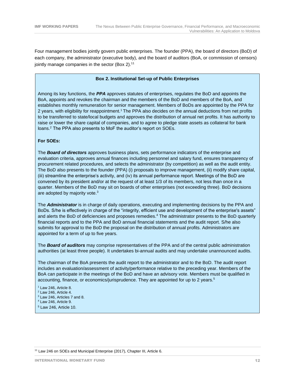Four management bodies jointly govern public enterprises. The founder (PPA), the board of directors (BoD) of each company, the administrator (executive body), and the board of auditors (BoA, or commission of censors) jointly manage companies in the sector (Box 2).<sup>11</sup>

#### **Box 2. Institutional Set-up of Public Enterprises**

Among its key functions, the *PPA* approves statutes of enterprises, regulates the BoD and appoints the BoA, appoints and revokes the chairman and the members of the BoD and members of the BoA, and establishes monthly remuneration for senior management. Members of BoDs are appointed by the PPA for 2 years, with eligibility for reappointment.<sup>1</sup> The PPA also decides on the annual deductions from net profits to be transferred to state/local budgets and approves the distribution of annual net profits. It has authority to raise or lower the share capital of companies, and to agree to pledge state assets as collateral for bank loans.<sup>2</sup> The PPA also presents to MoF the auditor's report on SOEs.

#### **For SOEs:**

The *Board of directors* approves business plans, sets performance indicators of the enterprise and evaluation criteria, approves annual finances including personnel and salary fund, ensures transparency of procurement related procedures, and selects the administrator (by competition) as well as the audit entity. The BoD also presents to the founder (PPA) (i) proposals to improve management, (ii) modify share capital, (iii) streamline the enterprise's activity, and (iv) its annual performance report. Meetings of the BoD are convened by its president and/or at the request of at least 1/3 of its members, not less than once in a quarter. Members of the BoD may sit on boards of other enterprises (not exceeding three). BoD decisions are adopted by majority vote.<sup>3</sup>

The *Administrator* is in charge of daily operations, executing and implementing decisions by the PPA and BoDs. S/he is effectively in charge of the "integrity, efficient use and development of the enterprise's assets" and alerts the BoD of deficiencies and proposes remedies. <sup>4</sup> The administrator presents to the BoD quarterly financial reports and to the PPA and BoD annual financial statements and the audit report. S/he also submits for approval to the BoD the proposal on the distribution of annual profits. Administrators are appointed for a term of up to five years.

The *Board of auditors* may comprise representatives of the PPA and of the central public administration authorities (at least three people). It undertakes bi-annual audits and may undertake unannounced audits.

The chairman of the BoA presents the audit report to the administrator and to the BoD. The audit report includes an evaluation/assessment of activity/performance relative to the preceding year. Members of the BoA can participate in the meetings of the BoD and have an advisory vote. Members must be qualified in accounting, finance, or economics/jurisprudence. They are appointed for up to 2 years.<sup>5</sup>

- $<sup>1</sup>$  Law 246, Article 8.</sup>
- <sup>2</sup> Law 246, Article 4.
- <sup>3</sup> Law 246, Articles 7 and 8.
- <sup>4</sup> Law 246, Article 9.
- <sup>5</sup> Law 246, Article 10.

<sup>11</sup> Law 246 on SOEs and Municipal Enterprise (2017), Chapter III, Article 6.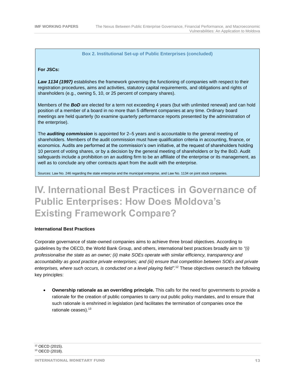#### **Box 2. Institutional Set-up of Public Enterprises (concluded)**

#### **For JSCs:**

*Law 1134 (1997)* establishes the framework governing the functioning of companies with respect to their registration procedures, aims and activities, statutory capital requirements, and obligations and rights of shareholders (e.g., owning 5, 10, or 25 percent of company shares).

Members of the **BoD** are elected for a term not exceeding 4 years (but with unlimited renewal) and can hold position of a member of a board in no more than 5 different companies at any time. Ordinary board meetings are held quarterly (to examine quarterly performance reports presented by the administration of the enterprise).

The *auditing commission* is appointed for 2–5 years and is accountable to the general meeting of shareholders. Members of the audit commission must have qualification criteria in accounting, finance, or economics. Audits are performed at the commission's own initiative, at the request of shareholders holding 10 percent of voting shares, or by a decision by the general meeting of shareholders or by the BoD. Audit safeguards include a prohibition on an auditing firm to be an affiliate of the enterprise or its management, as well as to conclude any other contracts apart from the audit with the enterprise.

Sources: Law No. 246 regarding the state enterprise and the municipal enterprise, and Law No. 1134 on joint stock companies.

### **IV. International Best Practices in Governance of Public Enterprises: How Does Moldova's Existing Framework Compare?**

#### **International Best Practices**

Corporate governance of state-owned companies aims to achieve three broad objectives. According to guidelines by the OECD, the World Bank Group, and others, international best practices broadly aim to *"(i) professionalise the state as an owner; (ii) make SOEs operate with similar efficiency, transparency and accountability as good practice private enterprises; and (iii) ensure that competition between SOEs and private enterprises, where such occurs, is conducted on a level playing field".* <sup>12</sup> These objectives overarch the following key principles:

• **Ownership rationale as an overriding principle.** This calls for the need for governments to provide a rationale for the creation of public companies to carry out public policy mandates, and to ensure that such rationale is enshrined in legislation (and facilitates the termination of companies once the rationale ceases).<sup>13</sup>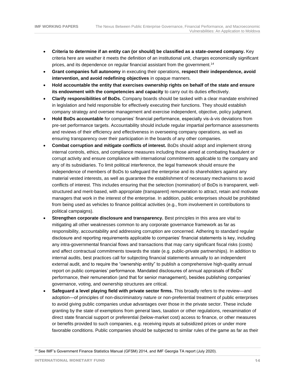- **Criteria to determine if an entity can (or should) be classified as a state-owned company.** Key criteria here are weather it meets the definition of an institutional unit, charges economically significant prices, and its dependence on regular financial assistant from the government.<sup>14</sup>
- **Grant companies full autonomy** in executing their operations, **respect their independence, avoid intervention, and avoid redefining objectives** in opaque manners.
- **Hold accountable the entity that exercises ownership rights on behalf of the state and ensure its endowment with the competencies and capacity** to carry out its duties effectively.
- **Clarify responsibilities of BoDs.** Company boards should be tasked with a clear mandate enshrined in legislation and held responsible for effectively executing their functions. They should establish company strategy and oversee management and exercise independent, objective, policy judgment.
- **Hold BoDs accountable** for companies' financial performance, especially vis-à-vis deviations from pre-set performance targets. Accountability should include regular impartial performance assessments and reviews of their efficiency and effectiveness in overseeing company operations, as well as ensuring transparency over their participation in the boards of any other companies.
- **Combat corruption and mitigate conflicts of interest.** BoDs should adopt and implement strong internal controls, ethics, and compliance measures including those aimed at combating fraudulent or corrupt activity and ensure compliance with international commitments applicable to the company and any of its subsidiaries. To limit political interference, the legal framework should ensure the independence of members of BoDs to safeguard the enterprise and its shareholders against any material vested interests, as well as guarantee the establishment of necessary mechanisms to avoid conflicts of interest. This includes ensuring that the selection (nomination) of BoDs is transparent, wellstructured and merit-based, with appropriate (transparent) remuneration to attract, retain and motivate managers that work in the interest of the enterprise. In addition, public enterprises should be prohibited from being used as vehicles to finance political activities (e.g., from involvement in contributions to political campaigns).
- **Strengthen corporate disclosure and transparency.** Best principles in this area are vital to mitigating all other weaknesses common to any corporate governance framework as far as responsibility, accountability and addressing corruption are concerned. Adhering to standard regular disclosure and reporting requirements applicable to companies' financial statements is key, including any intra-governmental financial flows and transactions that may carry significant fiscal risks (costs) and affect contractual commitments towards the state (e.g. public-private partnerships). In addition to internal audits, best practices call for subjecting financial statements annually to an independent external audit, and to require the "ownership entity" to publish a comprehensive high-quality annual report on public companies' performance. Mandated disclosures of annual appraisals of BoDs' performance, their remuneration (and that for senior management), besides publishing companies' governance, voting, and ownership structures are critical.
- **Safeguard a level playing field with private sector firms.** This broadly refers to the review—and adoption—of principles of non-discriminatory nature or non-preferential treatment of public enterprises to avoid giving public companies undue advantages over those in the private sector. These include granting by the state of exemptions from general laws, taxation or other regulations, reexamination of direct state financial support or preferential (below-market cost) access to finance, or other measures or benefits provided to such companies, e.g. receiving inputs at subsidized prices or under more favorable conditions. Public companies should be subjected to similar rules of the game as far as their

<sup>&</sup>lt;sup>14</sup> See IMF's Government Finance Statistics Manual (GFSM) 2014, and IMF Georgia TA report (July 2020).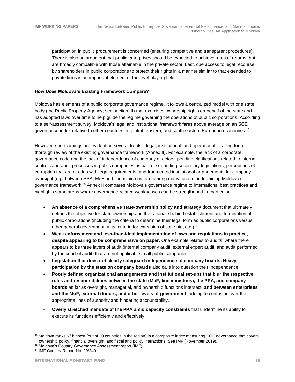participation in public procurement is concerned (ensuring competitive and transparent procedures). There is also an argument that public enterprises should be expected to achieve rates of returns that are broadly compatible with those attainable in the private sector. Last, due access to legal recourse by shareholders in public corporations to protect their rights in a manner similar to that extended to private firms is an important element of the level playing field.

#### **How Does Moldova's Existing Framework Compare?**

Moldova has elements of a public corporate governance regime. It follows a centralized model with one state body (the Public Property Agency; see section III) that exercises ownership rights on behalf of the state and has adopted laws over time to help guide the regime governing the operations of public corporations. According to a self-assessment survey, Moldova's legal and institutional framework fares above average on an SOE governance index relative to other countries in central, eastern, and south-eastern European economies.<sup>15</sup>

However, shortcomings are evident on several fronts—legal, institutional, and operational—calling for a thorough review of the existing governance framework (Annex II). For example, the lack of a corporate governance code and the lack of independence of company directors; pending clarifications related to internal controls and audit processes in public companies as part of supporting secondary legislations; perceptions of corruption that are at odds with legal requirements; and fragmented institutional arrangements for company oversight (e.g. between PPA, MoF and line ministries) are among many factors undermining Moldova's governance framework.<sup>16</sup> Annex II compares Moldova's governance regime to international best practices and highlights some areas where governance-related weaknesses can be strengthened. In particular:

- **An absence of a comprehensive state-ownership policy and strategy** document that ultimately defines the objective for state ownership and the rationale behind establishment and termination of public corporations (including the criteria to determine their legal form as public corporations versus other general government units, criteria for extension of state aid, etc.).<sup>17</sup>
- **Weak enforcement and less-than-ideal implementation of laws and regulations in practice, despite appearing to be comprehensive on paper.** One example relates to audits, where there appears to be three layers of audit (internal company audit, external expert audit, and audit performed by the court of audit) that are not applicable to all public companies.
- **Legislation that does not clearly safeguard independence of company boards. Heavy participation by the state on company boards** also calls into question their independence.
- **Poorly defined organizational arrangements and institutional set-ups that blur the respective roles and responsibilities between the state (MoF, line ministries), the PPA, and company boards** as far as oversight, managerial, and ownership functions intersect, **and between enterprises and the MoF, external donors, and other levels of government**, adding to confusion over the appropriate lines of authority and hindering accountability.
- **Overly stretched mandate of the PPA amid capacity constraints** that undermine its ability to execute its functions efficiently and effectively.

 $15$  Moldova ranks 6<sup>th</sup> highest (out of 20 countries in the region) in a composite index measuring SOE governance that covers ownership policy, financial oversight, and fiscal and policy interactions. See IMF (November 2019).

<sup>&</sup>lt;sup>16</sup> Moldova's Country Governance Assessment report (IMF).

<sup>17</sup> IMF Country Report No. 20/240.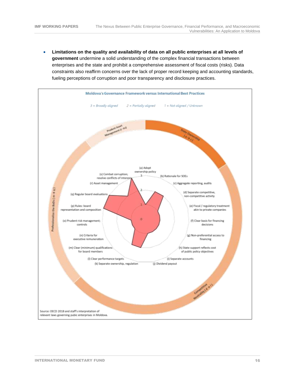• **Limitations on the quality and availability of data on all public enterprises at all levels of government** undermine a solid understanding of the complex financial transactions between enterprises and the state and prohibit a comprehensive assessment of fiscal costs (risks). Data constraints also reaffirm concerns over the lack of proper record keeping and accounting standards, fueling perceptions of corruption and poor transparency and disclosure practices.

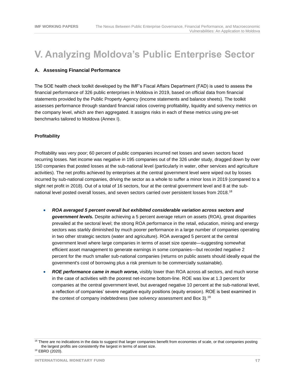### **V. Analyzing Moldova's Public Enterprise Sector**

#### **A. Assessing Financial Performance**

The SOE health check toolkit developed by the IMF's Fiscal Affairs Department (FAD) is used to assess the financial performance of 326 public enterprises in Moldova in 2019, based on official data from financial statements provided by the Public Property Agency (income statements and balance sheets). The toolkit assesses performance through standard financial ratios covering profitability, liquidity and solvency metrics on the company level, which are then aggregated. It assigns risks in each of these metrics using pre-set benchmarks tailored to Moldova (Annex I).

#### **Profitability**

Profitability was very poor; 60 percent of public companies incurred net losses and seven sectors faced recurring losses. Net income was negative in 195 companies out of the 326 under study, dragged down by over 150 companies that posted losses at the sub-national level (particularly in water, other services and agriculture activities). The net profits achieved by enterprises at the central government level were wiped out by losses incurred by sub-national companies, driving the sector as a whole to suffer a minor loss in 2019 (compared to a slight net profit in 2018). Out of a total of 16 sectors, four at the central government level and 8 at the subnational level posted overall losses, and seven sectors carried over persistent losses from 2018.<sup>18</sup>

- *ROA averaged 5 percent overall but exhibited considerable variation across sectors and government levels.* Despite achieving a 5 percent average return on assets (ROA), great disparities prevailed at the sectoral level; the strong ROA performance in the retail, education, mining and energy sectors was starkly diminished by much poorer performance in a large number of companies operating in two other strategic sectors (water and agriculture). ROA averaged 5 percent at the central government level where large companies in terms of asset size operate—suggesting somewhat efficient asset management to generate earnings in some companies—but recorded negative 2 percent for the much smaller sub-national companies (returns on public assets should ideally equal the government's cost of borrowing plus a risk premium to be commercially sustainable).
- *ROE performance came in much worse,* visibly lower than ROA across all sectors, and much worse in the case of activities with the poorest net-income bottom-line. ROE was low at 1.3 percent for companies at the central government level, but averaged negative 10 percent at the sub-national level, a reflection of companies' severe negative equity positions (equity erosion). ROE is best examined in the context of company indebtedness (see *solvency* assessment and Box 3).<sup>19</sup>

<sup>&</sup>lt;sup>18</sup> There are no indications in the data to suggest that larger companies benefit from economies of scale, or that companies posting the largest profits are consistently the largest in terms of asset size. <sup>19</sup> EBRD (2020).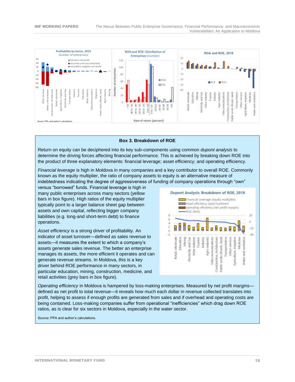

#### **Box 3. Breakdown of ROE**

Return on equity can be deciphered into its key sub-components using common *dupont analysis* to determine the driving forces affecting financial performance. This is achieved by breaking down ROE into the product of three explanatory elements: financial leverage; asset efficiency; and operating efficiency.

*Financial leverage* is high in Moldova in many companies and a key contributor to overall ROE. Commonly known as the equity multiplier, the ratio of company assets to equity is an alternative measure of indebtedness indicating the degree of aggressiveness of funding of company operations through "own"

versus "borrowed" funds. Financial leverage is high in many public enterprises across many sectors (yellow bars in box figure). High ratios of the equity multiplier typically point to a larger balance sheet gap between assets and own capital, reflecting bigger company liabilities (e.g. long-and short-term debt) to finance operations.

*Asset efficiency* is a strong driver of profitability*.* An indicator of asset turnover—defined as sales revenue to assets—it measures the extent to which a company's assets generate sales revenue. The better an enterprise manages its assets, the more efficient it operates and can generate revenue streams. In Moldova, this is a key driver behind ROE performance in many sectors, in particular education, mining, construction, medicine, and retail activities (grey bars in box figure).



*Operating efficiency* in Moldova is hampered by loss-making enterprises. Measured by net profit margins defined as net profit to total revenue—it reveals how much each dollar in revenue collected translates into profit, helping to assess if enough profits are generated from sales and if overhead and operating costs are being contained. Loss-making companies suffer from operational "inefficiencies" which drag down ROE ratios, as is clear for six sectors in Moldova, especially in the water sector.

Source: PPA and author's calculations.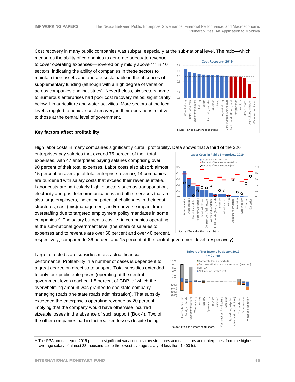Cost recovery in many public companies was subpar, especially at the sub-national level**.** The ratio—which

measures the ability of companies to generate adequate revenue to cover operating expenses—hovered only mildly above "1" in 10 sectors, indicating the ability of companies in these sectors to maintain their assets and operate sustainable in the absences of supplementary funding (although with a high degree of variation across companies and industries). Nevertheless, six sectors home to numerous enterprises had poor cost recovery ratios; significantly below 1 in agriculture and water activities. More sectors at the local level struggled to achieve cost recovery in their operations relative to those at the central level of government.



#### **Key factors affect profitability**

High labor costs in many companies significantly curtail profitability**.** Data shows that a third of the 326

enterprises pay salaries that exceed 75 percent of their total expenses, with 47 enterprises paying salaries comprising over 90 percent of their total expenses. Labor costs also absorb almost 15 percent on average of total enterprise revenue; 14 companies are burdened with salary costs that exceed their revenue intake. Labor costs are particularly high in sectors such as transportation, electricity and gas, telecommunications and other services that are also large employers, indicating potential challenges in their cost structures, cost (mis)management, and/or adverse impact from overstaffing due to targeted employment policy mandates in some companies.<sup>20</sup> The salary burden is costlier in companies operating at the sub-national government level (the share of salaries to expenses and to revenue are over 60 percent and over 40 percent,



respectively, compared to 36 percent and 15 percent at the central government level, respectively).

Large, directed state subsidies mask actual financial performance. Profitability in a number of cases is dependent to a great degree on direct state support. Total subsidies extended to only four public enterprises (operating at the central government level) reached 1.5 percent of GDP, of which the overwhelming amount was granted to one state company managing roads (the state roads administration). That subsidy exceeded the enterprise's operating revenue by 20 percent; implying that the company would have otherwise incurred sizeable losses in the absence of such support (Box 4). Two of the other companies had in fact realized losses despite being



<sup>20</sup> The PPA annual report 2019 points to significant variation in salary structures across sectors and enterprises; from the highest average salary of almost 33 thousand Lei to the lowest average salary of less than 1,400 lei.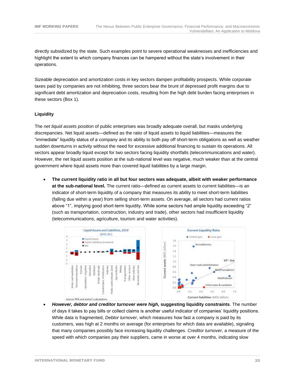directly subsidized by the state. Such examples point to severe operational weaknesses and inefficiencies and highlight the extent to which company finances can be hampered without the state's involvement in their operations.

Sizeable depreciation and amortization costs in key sectors dampen profitability prospects. While corporate taxes paid by companies are not inhibiting, three sectors bear the brunt of depressed profit margins due to significant debt amortization and depreciation costs, resulting from the high debt burden facing enterprises in these sectors (Box 1).

#### **Liquidity**

The *net liquid assets position* of public enterprises was broadly adequate overall, but masks underlying discrepancies. Net liquid assets—defined as the ratio of liquid assets to liquid liabilities—measures the "immediate" liquidity status of a company and its ability to both pay off short-term obligations as well as weather sudden downturns in activity without the need for excessive additional financing to sustain its operations. All sectors appear broadly liquid except for two sectors facing liquidity shortfalls (telecommunications and water). However, the net liquid assets position at the sub-national level was negative, much weaker than at the central government where liquid assets more than covered liquid liabilities by a large margin.

• **The current liquidity ratio in all but four sectors was adequate, albeit with weaker performance at the sub-national level.** The current ratio—defined as current assets to current liabilities—is an indicator of short-term liquidity of a company that measures its ability to meet short-term liabilities (falling due within a year) from selling short-term assets. On average, all sectors had current ratios above "1", implying good short-term liquidity. While some sectors had ample liquidity exceeding "2" (such as transportation, construction, industry and trade), other sectors had insufficient liquidity (telecommunications, agriculture, tourism and water activities).



• *However, debtor and creditor turnover were high,* **suggesting liquidity constraints**. The number of days it takes to pay bills or collect claims is another useful indicator of companies' liquidity positions. While data is fragmented, *Debtor turnover*, which measures how fast a company is paid by its customers, was high at 2 months on average (for enterprises for which data are available), signaling that many companies possibly face increasing liquidity challenges. *Creditor turnover*, a measure of the speed with which companies pay their suppliers, came in worse at over 4 months, indicating slow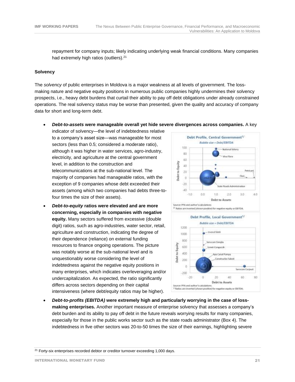repayment for company inputs; likely indicating underlying weak financial conditions. Many companies had extremely high ratios (outliers).<sup>21</sup>

#### **Solvency**

The *solvency* of public enterprises in Moldova is a major weakness at all levels of government. The lossmaking nature and negative equity positions in numerous public companies highly undermines their solvency prospects, i.e., heavy debt burdens that curtail their ability to pay off debt obligations under already constrained operations. The real solvency status may be worse than presented, given the quality and accuracy of company data for short and long-term debt.

• *Debt-to-assets* **were manageable overall yet hide severe divergences across companies.** A key

indicator of solvency—the level of indebtedness relative to a company's asset size—was manageable for most sectors (less than 0.5; considered a moderate ratio), although it was higher in water services, agro-industry, electricity, and agriculture at the central government level, in addition to the construction and telecommunications at the sub-national level. The majority of companies had manageable ratios, with the exception of 9 companies whose debt exceeded their assets (among which two companies had debts three-tofour times the size of their assets).

• *Debt-to-equity* **ratios were elevated and are more concerning, especially in companies with negative equity.** Many sectors suffered from excessive (double digit) ratios, such as agro-industries, water sector, retail, agriculture and construction, indicating the degree of their dependence (reliance) on external funding resources to finance ongoing operations. The picture was notably worse at the sub-national level and is unquestionably worse considering the level of indebtedness against the negative equity positions in many enterprises, which indicates overleveraging and/or undercapitalization. As expected, the ratio significantly differs across sectors depending on their capital intensiveness (where debt/equity ratios may be higher).



• *Debt-to-profits (EBITDA)* **were extremely high and particularly worrying in the case of lossmaking enterprises.** Another important measure of enterprise solvency that assesses a company's debt burden and its ability to pay off debt in the future reveals worrying results for many companies, especially for those in the public works sector such as the state roads administrator (Box 4). The indebtedness in five other sectors was 20-to-50 times the size of their earnings, highlighting severe

 $21$  Forty-six enterprises recorded debtor or creditor turnover exceeding 1,000 days.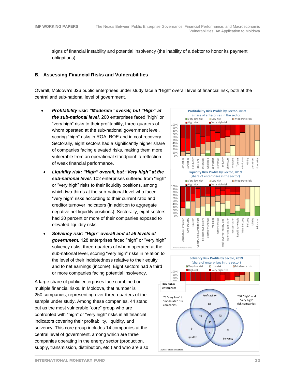signs of financial instability and potential insolvency (the inability of a debtor to honor its payment obligations).

#### **B. Assessing Financial Risks and Vulnerabilities**

Overall, Moldova's 326 public enterprises under study face a "High" overall level of financial risk, both at the central and sub-national level of government.

- *Profitability* **r***isk: "Moderate" overall, but "High" at the sub-national level.* 200 enterprises faced "high" or "very high" risks to their profitability, three-quarters of whom operated at the sub-national government level, scoring "high" risks in ROA, ROE and in cost recovery. Sectorally, eight sectors had a significantly higher share of companies facing elevated risks, making them more vulnerable from an operational standpoint: a reflection of weak financial performance.
- *Liquidity risk: "High" overall, but "Very high" at the sub-national level.* 102 enterprises suffered from "high" or "very high" risks to their liquidity positions, among which two-thirds at the sub-national level who faced "very high" risks according to their current ratio and creditor turnover indicators (in addition to aggregate negative net liquidity positions). Sectorally, eight sectors had 30 percent or more of their companies exposed to elevated liquidity risks.
- *Solvency risk: "High" overall and at all levels of government.* 128 enterprises faced "high" or "very high" solvency risks, three-quarters of whom operated at the sub-national level, scoring "very high" risks in relation to the level of their indebtedness relative to their equity and to net earnings (income). Eight sectors had a third or more companies facing potential insolvency.

A large share of public enterprises face combined or multiple financial risks. In Moldova, that number is 250 companies, representing over three-quarters of the sample under study. Among these companies, 44 stand out as the most vulnerable "core" group who are confronted with "high" or "very high" risks in all financial indicators covering their profitability, liquidity, and solvency. This core group includes 14 companies at the central level of government, among which are three companies operating in the energy sector (production, supply, transmission, distribution, etc.) and who are also



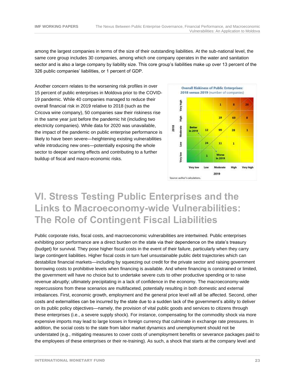among the largest companies in terms of the size of their outstanding liabilities. At the sub-national level, the same core group includes 30 companies, among which one company operates in the water and sanitation sector and is also a large company by liability size. This core group's liabilities make up over 13 percent of the 326 public companies' liabilities, or 1 percent of GDP.

Another concern relates to the worsening risk profiles in over 15 percent of public enterprises in Moldova prior to the COVID-19 pandemic. While 40 companies managed to reduce their overall financial risk in 2019 relative to 2018 (such as the Cricova wine company), 50 companies saw their riskiness rise in the same year just before the pandemic hit (including two electricity companies). While data for 2020 was unavailable, the impact of the pandemic on public enterprise performance is likely to have been severe—heightening existing vulnerabilities while introducing new ones—potentially exposing the whole sector to deeper scarring effects and contributing to a further buildup of fiscal and macro-economic risks.



### **VI. Stress Testing Public Enterprises and the Links to Macroeconomy-wide Vulnerabilities: The Role of Contingent Fiscal Liabilities**

Public corporate risks, fiscal costs, and macroeconomic vulnerabilities are intertwined. Public enterprises exhibiting poor performance are a direct burden on the state via their dependence on the state's treasury (budget) for survival. They pose higher fiscal costs in the event of their failure, particularly when they carry large contingent liabilities. Higher fiscal costs in turn fuel unsustainable public debt trajectories which can destabilize financial markets—including by squeezing out credit for the private sector and raising government borrowing costs to prohibitive levels when financing is available. And where financing is constrained or limited, the government will have no choice but to undertake severe cuts to other productive spending or to raise revenue abruptly; ultimately precipitating in a lack of confidence in the economy. The macroeconomy-wide repercussions from these scenarios are multifaceted, potentially resulting in both domestic and external imbalances. First, economic growth, employment and the general price level will all be affected. Second, other costs and externalities can be incurred by the state due to a sudden lack of the government's ability to deliver on its public policy objectives—namely, the provision of vital public goods and services to citizens through these enterprises (i.e., a severe supply shock). For instance, compensating for the commodity shock via more expensive imports may lead to large losses in foreign currency that culminate in exchange rate pressures. In addition, the social costs to the state from labor market dynamics and unemployment should not be understated (e.g., mitigating measures to cover costs of unemployment benefits or severance packages paid to the employees of these enterprises or their re-training). As such, a shock that starts at the company level and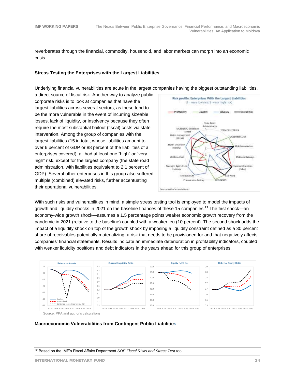reverberates through the financial, commodity, household, and labor markets can morph into an economic crisis.

#### **Stress Testing the Enterprises with the Largest Liabilities**

Underlying financial vulnerabilities are acute in the largest companies having the biggest outstanding liabilities,

a direct source of fiscal risk. Another way to analyze public corporate risks is to look at companies that have the largest liabilities across several sectors, as these tend to be the more vulnerable in the event of incurring sizeable losses, lack of liquidity, or insolvency because they often require the most substantial bailout (fiscal) costs via state intervention. Among the group of companies with the largest liabilities (15 in total, whose liabilities amount to over 6 percent of GDP or 88 percent of the liabilities of all enterprises covered), all had at least one "high" or "very high" risk, except for the largest company (the state road administration, with liabilities equivalent to 2.1 percent of GDP). Several other enterprises in this group also suffered multiple (combined) elevated risks, further accentuating their operational vulnerabilities.



With such risks and vulnerabilities in mind, a simple stress testing tool is employed to model the impacts of growth and liquidity shocks in 2021 on the baseline finances of these 15 companies.**<sup>22</sup>** The first shock—an economy-wide growth shock—assumes a 1.5 percentage points weaker economic growth recovery from the pandemic in 2021 (relative to the baseline) coupled with a weaker leu (10 percent). The second shock adds the impact of a liquidity shock on top of the growth shock by imposing a liquidity constraint defined as a 30 percent share of receivables potentially materializing; a risk that needs to be provisioned for and that negatively affects companies' financial statements. Results indicate an immediate deterioration in profitability indicators, coupled with weaker liquidity positions and debt indicators in the years ahead for this group of enterprises.



#### **Macroeconomic Vulnerabilities from Contingent Public Liabilities**

<sup>22</sup> Based on the IMF's Fiscal Affairs Department *SOE Fiscal Risks and Stress Test* tool.

INTERNATIONAL MONETARY FUND 24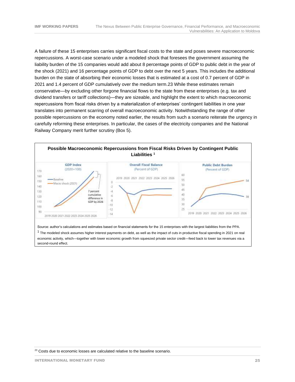A failure of these 15 enterprises carries significant fiscal costs to the state and poses severe macroeconomic repercussions. A worst-case scenario under a modeled shock that foresees the government assuming the liability burden of the 15 companies would add about 8 percentage points of GDP to public debt in the year of the shock (2021) and 16 percentage points of GDP to debt over the next 5 years. This includes the additional burden on the state of absorbing their economic losses that is estimated at a cost of 0.7 percent of GDP in 2021 and 1.4 percent of GDP cumulatively over the medium term.23 While these estimates remain conservative—by excluding other forgone financial flows to the state from these enterprises (e.g. tax and dividend transfers or tariff collections)—they are sizeable, and highlight the extent to which macroeconomic repercussions from fiscal risks driven by a materialization of enterprises' contingent liabilities in one year translates into permanent scarring of overall macroeconomic activity. Notwithstanding the range of other possible repercussions on the economy noted earlier, the results from such a scenario reiterate the urgency in carefully reforming these enterprises. In particular, the cases of the electricity companies and the National Railway Company merit further scrutiny (Box 5).



 $^1$  The modeled shock assumes higher interest payments on debt, as well as the impact of cuts in productive fiscal spending in 2021 on real economic activity, which—together with lower economic growth from squeezed private sector credit—feed back to lower tax revenues via a second-round effect.

 $23$  Costs due to economic losses are calculated relative to the baseline scenario.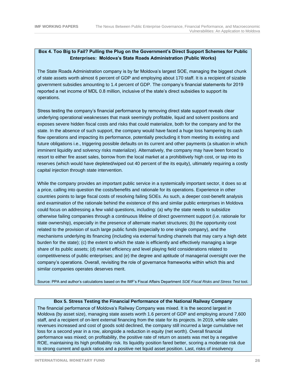#### **Box 4. Too Big to Fail? Pulling the Plug on the Government's Direct Support Schemes for Public Enterprises: Moldova's State Roads Administration (Public Works)**

The State Roads Administration company is by far Moldova's largest SOE, managing the biggest chunk of state assets worth almost 6 percent of GDP and employing about 170 staff. It is a recipient of sizable government subsidies amounting to 1.4 percent of GDP. The company's financial statements for 2019 reported a net income of MDL 0.8 million, inclusive of the state's direct subsidies to support its operations.

Stress testing the company's financial performance by removing direct state support reveals clear underlying operational weaknesses that mask seemingly profitable, liquid and solvent positions and exposes severe hidden fiscal costs and risks that could materialize, both for the company and for the state. In the absence of such support, the company would have faced a huge loss hampering its cash flow operations and impacting its performance, potentially precluding it from meeting its existing and future obligations i.e., triggering possible defaults on its current and other payments (a situation in which imminent liquidity and solvency risks materialize). Alternatively, the company may have been forced to resort to either fire asset sales, borrow from the local market at a prohibitively high cost, or tap into its reserves (which would have depleted/wiped out 40 percent of the its equity), ultimately requiring a costly capital injection through state intervention.

While the company provides an important public service in a systemically important sector, it does so at a price, calling into question the costs/benefits and rationale for its operations. Experience in other countries points to large fiscal costs of resolving failing SOEs. As such, a deeper cost-benefit analysis and examination of the rationale behind the existence of this and similar public enterprises in Moldova could focus on addressing a few valid questions, including: (a) why the state needs to subsidize otherwise failing companies through a continuous lifeline of direct government support (i.e. rationale for state ownership), especially in the presence of alternate market structures; (b) the opportunity cost related to the provision of such large public funds (especially to one single company), and the mechanisms underlying its financing (including via external funding channels that may carry a high debt burden for the state); (c) the extent to which the state is efficiently and effectively managing a large share of its public assets; (d) market efficiency and level playing field considerations related to competitiveness of public enterprises; and (e) the degree and aptitude of managerial oversight over the company's operations. Overall, revisiting the role of governance frameworks within which this and similar companies operates deserves merit.

Source: PPA and author's calculations based on the IMF's Fiscal Affairs Department *SOE Fiscal Risks and Stress Test* tool.

#### **Box 5. Stress Testing the Financial Performance of the National Railway Company**

The financial performance of Moldova's Railway Company was mixed. It is the second largest in Moldova (by asset size), managing state assets worth 1.6 percent of GDP and employing around 7,600 staff, and a recipient of on-lent external financing from the state for its projects. In 2019, while sales revenues increased and cost of goods sold declined, the company still incurred a large cumulative net loss for a second year in a row, alongside a reduction in equity (net worth). Overall financial performance was mixed; on profitability, the positive rate of return on assets was met by a negative ROE, maintaining its high profitability risk. Its liquidity position fared better, scoring a moderate risk due to strong current and quick ratios and a positive net liquid asset position. Last, risks of insolvency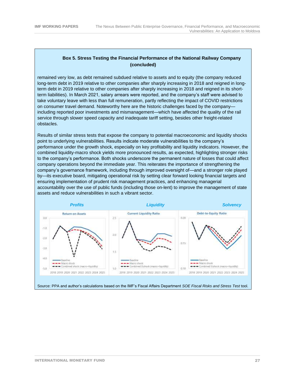#### **Box 5. Stress Testing the Financial Performance of the National Railway Company (concluded)**

remained very low, as debt remained subdued relative to assets and to equity (the company reduced long-term debt in 2019 relative to other companies after sharply increasing in 2018 and reigned in longterm debt in 2019 relative to other companies after sharply increasing in 2018 and reigned in its shortterm liabilities). In March 2021, salary arrears were reported, and the company's staff were advised to take voluntary leave with less than full remuneration, partly reflecting the impact of COVID restrictions on consumer travel demand. Noteworthy here are the historic challenges faced by the company including reported poor investments and mismanagement—which have affected the quality of the rail service through slower speed capacity and inadequate tariff setting, besides other freight-related obstacles.

Results of similar stress tests that expose the company to potential macroeconomic and liquidity shocks point to underlying vulnerabilities. Results indicate moderate vulnerabilities to the company's performance under the growth shock, especially on key profitability and liquidity indicators. However, the combined liquidity-macro shock yields more pronounced results, as expected, highlighting stronger risks to the company's performance. Both shocks underscore the permanent nature of losses that could affect company operations beyond the immediate year. This reiterates the importance of strengthening the company's governance framework, including through improved oversight of—and a stronger role played by—its executive board, mitigating operational risk by setting clear forward looking financial targets and ensuring implementation of prudent risk management practices, and enhancing managerial accountability over the use of public funds (including those on-lent) to improve the management of state assets and reduce vulnerabilities in such a vibrant sector.



Source: PPA and author's calculations based on the IMF's Fiscal Affairs Department *SOE Fiscal Risks and Stress Test* tool.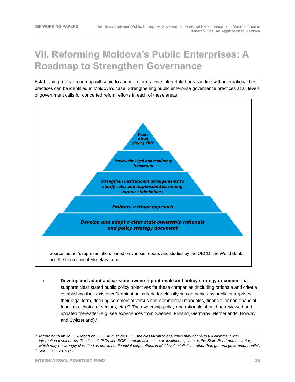### **VII. Reforming Moldova's Public Enterprises: A Roadmap to Strengthen Governance**

Establishing a clear roadmap will serve to anchor reforms. Five interrelated areas in line with international best practices can be identified in Moldova's case. Strengthening public enterprise governance practices at all levels of government calls for concerted reform efforts in each of these areas:



i. **Develop and adopt a clear state ownership rationale and policy strategy document** that supports clear stated public policy objectives for these companies (including rationale and criteria establishing their existence/termination, criteria for classifying companies as public enterprises, their legal form, defining commercial versus non-commercial mandates, financial or non-financial functions, choice of sectors, etc).<sup>24</sup> The ownership policy and rationale should be reviewed and updated thereafter (e.g. see experiences from Sweden, Finland, Germany, Netherlands, Norway, and Switzerland).<sup>25</sup>

INTERNATIONAL MONETARY FUND 28

<sup>24</sup> According to an IMF TA report on GFS (August 2020), *"…the classification of entities may not be in full alignment with international standards. The lists of JSCs and SOEs contain at least some institutions, such as the State Road Administrator, which may be wrongly classified as public nonfinancial corporations in Moldova's statistics, rather than general government units*". <sup>25</sup> See OECD 2015 (b).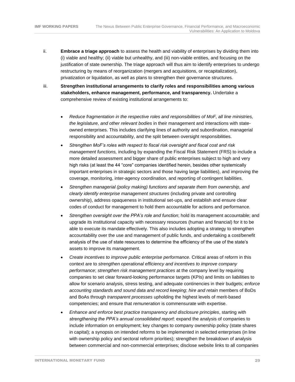- ii. **Embrace a triage approach** to assess the health and viability of enterprises by dividing them into (i) viable and healthy; (ii) viable but unhealthy, and (iii) non-viable entities, and focusing on the justification of state ownership. The triage approach will thus aim to identify enterprises to undergo restructuring by means of reorganization (mergers and acquisitions, or recapitalization), privatization or liquidation, as well as plans to strengthen their governance structures.
- iii. **Strengthen institutional arrangements to clarify roles and responsibilities among various stakeholders, enhance management, performance, and transparency.** Undertake a comprehensive review of existing institutional arrangements to:
	- *Reduce fragmentation in the respective roles and responsibilities of MoF, all line ministries, the legislature, and other relevant bodies* in their management and interactions with stateowned enterprises. This includes clarifying lines of authority and subordination, managerial responsibility and accountability, and the split between oversight responsibilities.
	- *Strengthen MoF's roles with respect to fiscal risk oversight and fiscal cost and risk management functions,* including by expanding the Fiscal Risk Statement (FRS) to include a more detailed assessment and bigger share of public enterprises subject to high and very high risks (at least the 44 "core" companies identified herein, besides other systemically important enterprises in strategic sectors and those having large liabilities), and improving the coverage, monitoring, inter-agency coordination, and reporting of contingent liabilities.
	- *Strengthen managerial (policy making) functions and separate them from ownership, and clearly identify enterprise management structures* (including private and controlling ownership), address opaqueness in institutional set-ups, and establish and ensure clear codes of conduct for management to hold them accountable for actions and performance.
	- *Strengthen oversight over the PPA's role and function*; hold its management accountable; and upgrade its institutional capacity with necessary resources (human and financial) for it to be able to execute its mandate effectively. This also includes adopting a strategy to strengthen accountability over the use and management of public funds, and undertaking a cost/benefit analysis of the use of state resources to determine the efficiency of the use of the state's assets to improve its management.
	- *Create incentives to improve public enterprise performance.* Critical areas of reform in this context are to *strengthen operational efficiency and incentives to improve company performance*; *strengthen risk management practices* at the company level by requiring companies to set clear forward-looking performance targets (KPIs) and limits on liabilities to allow for scenario analysis, stress testing, and adequate continencies in their budgets; *enforce accounting standards and sound data and record keeping*; *hire and retain* members of BoDs and BoAs through *transparent processes* upholding the highest levels of merit-based competencies; and ensure that *remuneration* is commensurate with expertise.
	- *Enhance and enforce best practice transparency and disclosure principles*, starting with *strengthening the PPA's annual consolidated report*: expand the analysis of companies to include information on employment; key changes to company ownership policy (state shares in capital); a synopsis on intended reforms to be implemented in selected enterprises (in line with ownership policy and sectoral reform priorities); strengthen the breakdown of analysis between commercial and non-commercial enterprises; disclose website links to all companies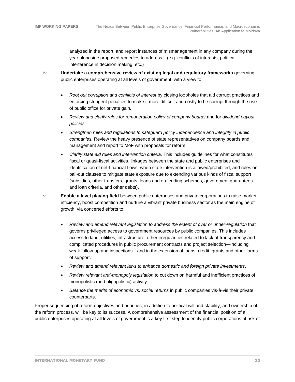analyzed in the report, and report instances of mismanagement in any company during the year alongside proposed remedies to address it (e.g. conflicts of interests, political interference in decision making, etc.)

- iv. **Undertake a comprehensive review of existing legal and regulatory frameworks** governing public enterprises operating at all levels of government, with a view to:
	- Root out corruption and conflicts of interest by closing loopholes that aid corrupt practices and enforcing stringent penalties to make it more difficult and costly to be corrupt through the use of public office for private gain*.*
	- *Review and clarify rules for remuneration policy of company boards* and for *dividend payout policies.*
	- *Strengthen rules and regulations to safeguard policy independence and integrity in public companies.* Review the heavy presence of state representatives on company boards and management and report to MoF with proposals for reform.
	- *Clarify state aid rules and intervention criteria.* This includes guidelines for what constitutes fiscal or quasi-fiscal activities, linkages between the state and public enterprises and identification of net-financial flows, when state intervention is allowed/prohibited, and rules on bail-out clauses to mitigate state exposure due to extending various kinds of fiscal support (subsidies, other transfers, grants, loans and on-lending schemes, government guarantees and loan criteria, and other debts).
- v. **Enable a level playing field** between public enterprises and private corporations to raise market efficiency, boost competition and nurture a vibrant private business sector as the main engine of growth, via concerted efforts to:
	- *Review and amend relevant legislation to address the extent of over or under-regulation* that governs privileged access to government resources by public companies. This includes access to land, utilities, infrastructure, other irregularities related to lack of transparency and complicated procedures in public procurement contracts and project selection—including weak follow-up and inspections—and in the extension of loans, credit, grants and other forms of support.
	- *Review and amend relevant laws to enhance domestic and foreign private investments*.
	- *Review relevant anti-monopoly legislation* to cut down on harmful and inefficient practices of monopolistic (and oligopolistic) activity.
	- *Balance the merits of economic vs. social returns* in public companies vis-à-vis their private counterparts.

Proper sequencing of reform objectives and priorities, in addition to political will and stability, and ownership of the reform process, will be key to its success. A comprehensive assessment of the financial position of all public enterprises operating at all levels of government is a key first step to identify public corporations at risk of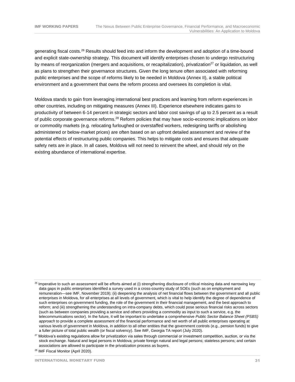generating fiscal costs.<sup>26</sup> Results should feed into and inform the development and adoption of a time-bound and explicit state-ownership strategy. This document will identify enterprises chosen to undergo restructuring by means of reorganization (mergers and acquisitions, or recapitalization), privatization<sup>27</sup> or liquidation, as well as plans to strengthen their governance structures. Given the long tenure often associated with reforming public enterprises and the scope of reforms likely to be needed in Moldova (Annex II), a stable political environment and a government that owns the reform process and oversees its completion is vital.

Moldova stands to gain from leveraging international best practices and learning from reform experiences in other countries, including on mitigating measures (Annex III). Experience elsewhere indicates gains to productivity of between 6-14 percent in strategic sectors and labor cost savings of up to 2.5 percent as a result of public corporate governance reforms.<sup>28</sup> Reform policies that may have socio-economic implications on labor or commodity markets (e.g. relocating furloughed or overstaffed workers, redesigning tariffs or abolishing administered or below-market prices) are often based on an upfront detailed assessment and review of the potential effects of restructuring public companies. This helps to mitigate costs and ensures that adequate safety nets are in place. In all cases, Moldova will not need to reinvent the wheel, and should rely on the existing abundance of international expertise.

<sup>&</sup>lt;sup>26</sup> Imperative to such an assessment will be efforts aimed at (i) strengthening disclosure of critical missing data and narrowing key data gaps in public enterprises identified a survey used in a cross-country study of SOEs (such as on employment and remuneration—see IMF, November 2019); (ii) deepening the analysis of net financial flows between the government and all public enterprises in Moldova, for all enterprises at all levels of government, which is vital to help identify the degree of dependence of such enterprises on government funding, the role of the government in their financial management, and the best approach to reform; and (iii) strengthening the understanding on intra-company debts, which could pose serious financial risks across sectors (such as between companies providing a service and others providing a commodity as input to such a service, e.g. the telecommunications sector). In the future, it will be important to undertake a comprehensive *Public Sector Balance Sheet (PSBS) approach* to provide a complete assessment of the financial performance and net worth of all public enterprises operating at various levels of government in Moldova, in addition to all other entities that the government controls (e.g., pension funds) to give a fuller picture of total public wealth (or fiscal solvency). See IMF, Georgia TA report (July 2020).

<sup>&</sup>lt;sup>27</sup> Moldova's existing regulations allow for privatization via sales through commercial or investment competition, auction, or via the stock exchange. Natural and legal persons in Moldova; private foreign natural and legal persons; stateless persons; and certain associations are allowed to participate in the privatization process as buyers.

<sup>28</sup> IMF Fiscal Monitor (April 2020).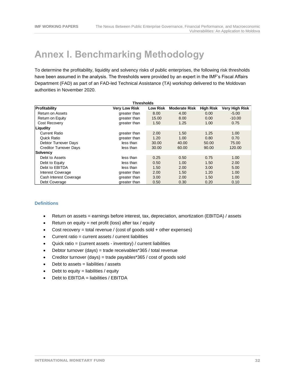### <span id="page-31-0"></span>**Annex I. Benchmarking Methodology**

To determine the profitability, liquidity and solvency risks of public enterprises, the following risk thresholds have been assumed in the analysis. The thresholds were provided by an expert in the IMF's Fiscal Affairs Department (FAD) as part of an FAD-led Technical Assistance (TA) workshop delivered to the Moldovan authorities in November 2020.

| <b>Thresholds</b>             |                      |                 |                      |                  |                |  |
|-------------------------------|----------------------|-----------------|----------------------|------------------|----------------|--|
| Profitability                 | <b>Very Low Risk</b> | <b>Low Risk</b> | <b>Moderate Risk</b> | <b>High Risk</b> | Very High Risk |  |
| Return on Assets              | greater than         | 8.00            | 4.00                 | 0.00             | $-5.00$        |  |
| Return on Equity              | greater than         | 15.00           | 8.00                 | 0.00             | $-10.00$       |  |
| Cost Recovery                 | greater than         | 1.50            | 1.25                 | 1.00             | 0.75           |  |
| Liqudity                      |                      |                 |                      |                  |                |  |
| <b>Current Ratio</b>          | greater than         | 2.00            | 1.50                 | 1.25             | 1.00           |  |
| Quick Ratio                   | greater than         | 1.20            | 1.00                 | 0.80             | 0.70           |  |
| Debtor Turnover Days          | less than            | 30.00           | 40.00                | 50.00            | 75.00          |  |
| <b>Creditor Turnover Days</b> | less than            | 30.00           | 60.00                | 90.00            | 120.00         |  |
| Solvency                      |                      |                 |                      |                  |                |  |
| Debt to Assets                | less than            | 0.25            | 0.50                 | 0.75             | 1.00           |  |
| Debt to Equity                | less than            | 0.50            | 1.00                 | 1.50             | 2.00           |  |
| Debt to EBITDA                | less than            | 1.50            | 2.00                 | 3.00             | 5.00           |  |
| Interest Coverage             | greater than         | 2.00            | 1.50                 | 1.20             | 1.00           |  |
| Cash Interest Coverage        | greater than         | 3.00            | 2.00                 | 1.50             | 1.00           |  |
| Debt Coverage                 | greater than         | 0.50            | 0.30                 | 0.20             | 0.10           |  |

#### **Definitions**

- Return on assets = earnings before interest, tax, depreciation, amortization (EBITDA) / assets
- Return on equity = net profit (loss) after tax / equity
- Cost recovery = total revenue / (cost of goods sold + other expenses)
- $\bullet$  Current ratio = current assets / current liabilities
- Quick ratio = (current assets inventory) / current liabilities
- Debtor turnover (days) = trade receivables\*365 / total revenue
- Creditor turnover (days) = trade payables\*365 / cost of goods sold
- $\bullet$  Debt to assets = liabilities / assets
- Debt to equity  $=$  liabilities / equity
- Debt to EBITDA = liabilities / EBITDA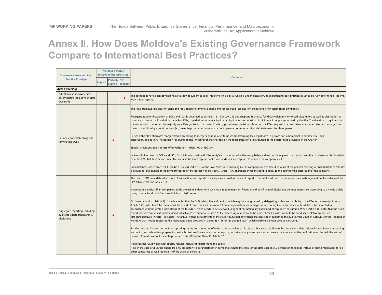### **Annex II. How Does Moldova's Existing Governance Framework Compare to International Best Practices?**

<span id="page-32-0"></span>

|                                                                                   | <b>Moldova's status</b> |                            |         | <b>Comments</b>                                                                                                                                                                                                                                                                                                                                                                                                                                                                                                                                                                                                                                                                                                                                                                                                                                                                                                                                                                                                                                                                                          |                                                                                                                                                                                                                                                                                                                                                                        |  |
|-----------------------------------------------------------------------------------|-------------------------|----------------------------|---------|----------------------------------------------------------------------------------------------------------------------------------------------------------------------------------------------------------------------------------------------------------------------------------------------------------------------------------------------------------------------------------------------------------------------------------------------------------------------------------------------------------------------------------------------------------------------------------------------------------------------------------------------------------------------------------------------------------------------------------------------------------------------------------------------------------------------------------------------------------------------------------------------------------------------------------------------------------------------------------------------------------------------------------------------------------------------------------------------------------|------------------------------------------------------------------------------------------------------------------------------------------------------------------------------------------------------------------------------------------------------------------------------------------------------------------------------------------------------------------------|--|
| <b>Governance Area and Best</b><br><b>Practice Principle</b>                      |                         | relative to best practices |         |                                                                                                                                                                                                                                                                                                                                                                                                                                                                                                                                                                                                                                                                                                                                                                                                                                                                                                                                                                                                                                                                                                          |                                                                                                                                                                                                                                                                                                                                                                        |  |
|                                                                                   | <b>Aligned</b>          | <b>Partially Not</b>       |         |                                                                                                                                                                                                                                                                                                                                                                                                                                                                                                                                                                                                                                                                                                                                                                                                                                                                                                                                                                                                                                                                                                          |                                                                                                                                                                                                                                                                                                                                                                        |  |
|                                                                                   |                         | aligned                    | aligned |                                                                                                                                                                                                                                                                                                                                                                                                                                                                                                                                                                                                                                                                                                                                                                                                                                                                                                                                                                                                                                                                                                          |                                                                                                                                                                                                                                                                                                                                                                        |  |
| <b>State ownership</b>                                                            |                         |                            |         |                                                                                                                                                                                                                                                                                                                                                                                                                                                                                                                                                                                                                                                                                                                                                                                                                                                                                                                                                                                                                                                                                                          |                                                                                                                                                                                                                                                                                                                                                                        |  |
| Adopt an explicit ownership<br>policy (define objective of state<br>ownership)    |                         |                            |         | The authorities have been developing a strategy document to look into ownership policy, which is under discussion. Its alignment to best practices is yet to be fully determined (see IMF,<br>March 2021 report).                                                                                                                                                                                                                                                                                                                                                                                                                                                                                                                                                                                                                                                                                                                                                                                                                                                                                        |                                                                                                                                                                                                                                                                                                                                                                        |  |
| Rationale for establishing and<br>terminating SOEs                                |                         |                            |         | The legal framework is clear on steps and requlations to terminate public enterprises but is less clear on the rationale for establishing companies.                                                                                                                                                                                                                                                                                                                                                                                                                                                                                                                                                                                                                                                                                                                                                                                                                                                                                                                                                     |                                                                                                                                                                                                                                                                                                                                                                        |  |
|                                                                                   |                         |                            |         | Reorganization or dissolution of SOEs and JSCs is governed by (Articles 12-15 of Law 246 and chapters 19 and 20 for JSCs) (voluntarily or forced dissolution) as well as distribution of<br>company assets at the liquidation stage. For SOEs, Liquidations require a liquidator (liquidation commission of minimum 3 people appointed by the PPA. The decision to liquidate by<br>the commission is adopted by majority vote. Reorganization or dissolution is by government decision Based on the PPA's request, in some instances an enterprise can be subject to<br>forced dissolution by a court decision (e.g. an enterprise has no assets or has not operated or reported financial statements for three years).                                                                                                                                                                                                                                                                                                                                                                                  |                                                                                                                                                                                                                                                                                                                                                                        |  |
|                                                                                   |                         |                            |         | For JSCs, their law stipulates reorganization according to mergers, split up of enterprises, transforming their legal form (e.g. from non-commercial to commercial), and<br>dissolution/liquidation. The decision following general meeting of shareholders on the reorganization or dissolution of the enterprise is grounded in the Charter.                                                                                                                                                                                                                                                                                                                                                                                                                                                                                                                                                                                                                                                                                                                                                           |                                                                                                                                                                                                                                                                                                                                                                        |  |
|                                                                                   |                         |                            |         | Special provisions apply in case of privatization (Article 100 of JSC law).                                                                                                                                                                                                                                                                                                                                                                                                                                                                                                                                                                                                                                                                                                                                                                                                                                                                                                                                                                                                                              |                                                                                                                                                                                                                                                                                                                                                                        |  |
|                                                                                   |                         |                            |         | In line with the Laws for SOEs and JSCs, Dissolution is possible if "the entity's equity reported in the yearly balance sheet, for three years in a row, is lower than its share capital, in which<br>case the PPA shall take action under the law (cut the share capital, contribute funds to share capital, close down the company, etc.)."                                                                                                                                                                                                                                                                                                                                                                                                                                                                                                                                                                                                                                                                                                                                                            |                                                                                                                                                                                                                                                                                                                                                                        |  |
|                                                                                   |                         |                            |         |                                                                                                                                                                                                                                                                                                                                                                                                                                                                                                                                                                                                                                                                                                                                                                                                                                                                                                                                                                                                                                                                                                          | Circumstances under which a JSC can be dissolved (Article 53 of the law): "The non-convening by the company for 2 consecutive years of the general meeting of shareholders constitutes<br>a ground for dissolution of the company based on the decision of the court". Also, "Any shareholder has the right to apply to the court for the dissolution of the company". |  |
| Aggregate reporting, including<br>audits (facilitate transparency,<br>disclosure) |                         |                            |         | The Law on SOEs mandates disclosure of annual financial reports of enterprises, as well as the audit report to be published both on the enterprises' webpage and on the website of the<br>PPA (chapter VI, and Article 18).                                                                                                                                                                                                                                                                                                                                                                                                                                                                                                                                                                                                                                                                                                                                                                                                                                                                              |                                                                                                                                                                                                                                                                                                                                                                        |  |
|                                                                                   |                         |                            |         | However, it is unclear if all companies abide by such mandates or if such legal requirements on financial and non-financial disclosures are met in practice (according to a media article<br>many companies do not. See also IMF, March 2021 report).                                                                                                                                                                                                                                                                                                                                                                                                                                                                                                                                                                                                                                                                                                                                                                                                                                                    |                                                                                                                                                                                                                                                                                                                                                                        |  |
|                                                                                   |                         |                            |         | On financial audits: (Article 7) of the law notes that the BoD selects the audit entity, which may be strengthened by delegating such a responsibility to the PPA as the oversight body.<br>Article 8 (5) notes that "the member of the board of directors shall be exempt from compensation for damage caused during the performance of his duties if he has acted in<br>accordance with the written instructions of the founder", which needs to be reviewed in light of mitigating any likelihood of top down corruption. While (Article 10) notes that the Audit<br>report includes an evaluation/assessment of activity/performance relative to the preceding year, it would be prudent for the assessment to be conducted relative to pre-set<br>targets/objectives. (Article 11) states: "The annual financial statements of the state / municipal enterprises that have been subject to the audit of the Court of Accounts of the Republic of<br>Moldova shall not be subject to the mandatory audit provided in paragraph (1) for the audited year", which weakens the objective of the audits. |                                                                                                                                                                                                                                                                                                                                                                        |  |
|                                                                                   |                         |                            |         | For the Law on JSCs—on accounting, reporting, audits and disclosure of information—the law explicitly ascribes responsibility to the company and its officers for negligence in keeping<br>accounting records and/or preparation and submission of financial and other reports, inclusive of any unauthentic or erroneous data, as well as the publication (or the lack thereof) of<br>untrue information about the enterprise's activities (Chapters 16 to 18; Article 87).                                                                                                                                                                                                                                                                                                                                                                                                                                                                                                                                                                                                                             |                                                                                                                                                                                                                                                                                                                                                                        |  |
|                                                                                   |                         |                            |         | However, the JSC law does not specify regular intervals for performing the audits.<br>Also, in the case of JSCs, the audits are only obligatory to be undertaken in companies where the share of the state exceeds 50 percent of its capital, instead of being mandatory for all<br>other companies as well regardless of the share of the state.                                                                                                                                                                                                                                                                                                                                                                                                                                                                                                                                                                                                                                                                                                                                                        |                                                                                                                                                                                                                                                                                                                                                                        |  |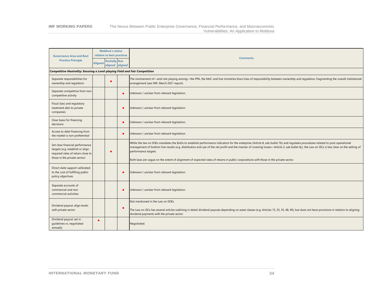#### **IMF WORKING PAPERS** The Nexus Between Public Enterprise Governance, Financial Performance, and Macroeconomic Vulnerabilities: An Application to Moldova

| <b>Governance Area and Best</b>                                                                                                          | <b>Moldova's status</b><br>relative to best practices     |  |  |                                                                                                                                                                                                                                                                                                                                                                                                       |  |  |
|------------------------------------------------------------------------------------------------------------------------------------------|-----------------------------------------------------------|--|--|-------------------------------------------------------------------------------------------------------------------------------------------------------------------------------------------------------------------------------------------------------------------------------------------------------------------------------------------------------------------------------------------------------|--|--|
| <b>Practice Principle</b>                                                                                                                | <b>Partially Not</b><br><b>Aligned</b><br>aligned aligned |  |  | <b>Comments</b>                                                                                                                                                                                                                                                                                                                                                                                       |  |  |
| Competitive Neutrality: Ensuring a Level-playing Field and Fair Competition                                                              |                                                           |  |  |                                                                                                                                                                                                                                                                                                                                                                                                       |  |  |
| Separate responsibilities for<br>ownership and regulation                                                                                |                                                           |  |  | The involvement of—and role playing among—the PPA, the MoF, and line ministries blurs lines of responsibility between ownership and regulation, fragmenting the overall institutional<br>arrangement (see IMF, March 2021 report).                                                                                                                                                                    |  |  |
| Separate competitive from non-<br>competitive activity                                                                                   |                                                           |  |  | Unknown / unclear from relevant legislation.                                                                                                                                                                                                                                                                                                                                                          |  |  |
| Fiscal (tax) and regulatory<br>treatment akin to private<br>companies                                                                    |                                                           |  |  | Unknown / unclear from relevant legislation.                                                                                                                                                                                                                                                                                                                                                          |  |  |
| Clear basis for financing<br>decisions                                                                                                   |                                                           |  |  | Unknown / unclear from relevant legislation.                                                                                                                                                                                                                                                                                                                                                          |  |  |
| Access to debt financing from<br>the market is non-preferential                                                                          |                                                           |  |  | Unknown / unclear from relevant legislation.                                                                                                                                                                                                                                                                                                                                                          |  |  |
| Set clear financial performance<br>targets (e.g. establish or align<br>required rates of return close to<br>those in the private sector) |                                                           |  |  | While the law on SOEs mandates the BoDs to establish performance indicators for the enterprise (Article 8, sub-bullet 7b) and regulates procedures related to post-operational<br>management of bottom line results (e.g. distribution and use of the net profit and the manner of covering losses—Article 2, sub bullet 4;), the Law on JSCs is less clear on the setting of<br>performance targets. |  |  |
|                                                                                                                                          |                                                           |  |  | Both laws are vaque on the extent of alignment of expected rates of returns in public corporations with those in the private sector.                                                                                                                                                                                                                                                                  |  |  |
| Direct state support calibrated<br>to the cost of fulfilling public<br>policy objectives                                                 |                                                           |  |  | Unknown / unclear from relevant legislation                                                                                                                                                                                                                                                                                                                                                           |  |  |
| Separate accounts of<br>commercial and non-<br>commercial activities                                                                     |                                                           |  |  | Unknown / unclear from relevant legislation                                                                                                                                                                                                                                                                                                                                                           |  |  |
| Dividend payout: align levels<br>with private sector                                                                                     |                                                           |  |  | Not mentioned in the Law on SOEs.<br>The Law on JSCs has several articles outlining in detail dividend payouts depending on asset classes (e.g. Articles 15, 25, 35, 48, 49), but does not have provisions in relation to aligning<br>dividend payments with the private sector.                                                                                                                      |  |  |
| Dividend payout: set in<br>guidelines vs. negotiated<br>annually                                                                         | $\bullet$                                                 |  |  | Negotiated.                                                                                                                                                                                                                                                                                                                                                                                           |  |  |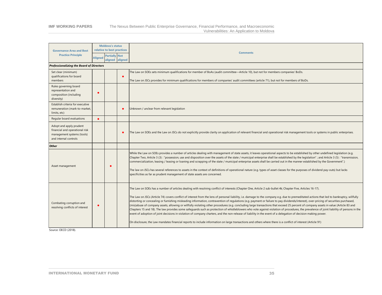#### **IMF WORKING PAPERS** The Nexus Between Public Enterprise Governance, Financial Performance, and Macroeconomic Vulnerabilities: An Application to Moldova

| <b>Governance Area and Best</b>                                                                                  | <b>Moldova's status</b><br>relative to best practices |  |         | <b>Comments</b>                                                                                                                                                                                                                                                                                                                                                                                                                                                                                                                                                                                                                                                                                                                                                                                                                                                                                                                                                                                                                                                                                                                                                                                                                                                            |
|------------------------------------------------------------------------------------------------------------------|-------------------------------------------------------|--|---------|----------------------------------------------------------------------------------------------------------------------------------------------------------------------------------------------------------------------------------------------------------------------------------------------------------------------------------------------------------------------------------------------------------------------------------------------------------------------------------------------------------------------------------------------------------------------------------------------------------------------------------------------------------------------------------------------------------------------------------------------------------------------------------------------------------------------------------------------------------------------------------------------------------------------------------------------------------------------------------------------------------------------------------------------------------------------------------------------------------------------------------------------------------------------------------------------------------------------------------------------------------------------------|
| <b>Practice Principle</b>                                                                                        | <b>Partially Not</b><br><b>Aligned</b><br>aligned     |  | aligned |                                                                                                                                                                                                                                                                                                                                                                                                                                                                                                                                                                                                                                                                                                                                                                                                                                                                                                                                                                                                                                                                                                                                                                                                                                                                            |
| <b>Professionalizing the Board of Directors</b>                                                                  |                                                       |  |         |                                                                                                                                                                                                                                                                                                                                                                                                                                                                                                                                                                                                                                                                                                                                                                                                                                                                                                                                                                                                                                                                                                                                                                                                                                                                            |
| Set clear (minimum)<br>qualifications for board<br>members                                                       |                                                       |  |         | The Law on SOEs sets minimum qualifications for member of BoAs (audit committee—Article 10), but not for members companies' BoDs.<br>The Law on JSCs provides for minimum qualifications for members of companies' audit committees (article 71), but not for members of BoDs.                                                                                                                                                                                                                                                                                                                                                                                                                                                                                                                                                                                                                                                                                                                                                                                                                                                                                                                                                                                             |
| Rules governing board<br>representation and<br>composition (including<br>diversity)                              |                                                       |  |         |                                                                                                                                                                                                                                                                                                                                                                                                                                                                                                                                                                                                                                                                                                                                                                                                                                                                                                                                                                                                                                                                                                                                                                                                                                                                            |
| Establish criteria for executive<br>remuneration (mark-to-market,<br>limits, etc)                                |                                                       |  |         | Unknown / unclear from relevant legislation                                                                                                                                                                                                                                                                                                                                                                                                                                                                                                                                                                                                                                                                                                                                                                                                                                                                                                                                                                                                                                                                                                                                                                                                                                |
| Regular board evaluations                                                                                        | $\bullet$                                             |  |         |                                                                                                                                                                                                                                                                                                                                                                                                                                                                                                                                                                                                                                                                                                                                                                                                                                                                                                                                                                                                                                                                                                                                                                                                                                                                            |
| Adopt and apply prudent<br>financial and operational risk<br>management systems (tools)<br>and internal controls |                                                       |  |         | The Law on SOEs and the Law on JSCs do not explicitly provide clarity on application of relevant financial and operational risk management tools or systems in public enterprises.                                                                                                                                                                                                                                                                                                                                                                                                                                                                                                                                                                                                                                                                                                                                                                                                                                                                                                                                                                                                                                                                                         |
| <b>Other</b>                                                                                                     |                                                       |  |         |                                                                                                                                                                                                                                                                                                                                                                                                                                                                                                                                                                                                                                                                                                                                                                                                                                                                                                                                                                                                                                                                                                                                                                                                                                                                            |
| Asset management                                                                                                 |                                                       |  |         | While the Law on SOEs provides a number of articles dealing with management of state assets, it leaves operational aspects to be established by other undefined legislation (e.g.<br>Chapter Two, Article 3 (3): "possession, use and disposition over the assets of the state / municipal enterprise shall be established by the legislation"; and Article 3 (5): "transmission,<br>commercialization, leasing / leasing or loaning and scrapping of the state / municipal enterprise assets shall be carried out in the manner established by the Government".)<br>The law on JSCs has several references to assets in the context of definitions of operational nature (e.g. types of asset classes for the purposes of dividend pay-outs) but lacks<br>specificities as far as prudent management of state assets are concerned.                                                                                                                                                                                                                                                                                                                                                                                                                                       |
| Combating corruption and<br>resolving conflicts of interest                                                      |                                                       |  |         | The Law on SOEs has a number of articles dealing with resolving conflict of interests (Chapter One, Article 2 sub-bullet 4k; Chapter Five, Articles 16-17).<br>The Law on JSCs (Article 74) covers conflict of interest from the lens of personal liability, i.e. damage to the company e.g. due to premeditated actions that led to bankruptcy, willfully<br>distorting or concealing or furnishing misleading information, contravention of requlations (e.g. payment or failure to pay dividends/interest), over-pricing of securities purchased,<br>(mis)abuse of company assets, allowing or willfully violating other procedures (e.g. concluding large transactions that exceed 25 percent of company assets in value (Article 83 and<br>Chapters 15 and 18). The law provides some safequards such as protection of whistleblowers who vote against violation of procedures, the prevalence of joint liability of persons in the<br>event of adoption of joint decisions in violation of company charters, and the non-release of liability in the event of a delegation of decision making power.<br>On disclosure, the Law mandates financial reports to include information on large transactions and others where there is a conflict of interest (Article 91) |

Source: OECD (2018).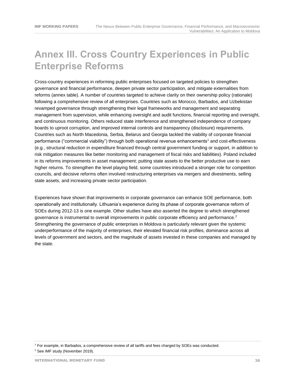### <span id="page-35-0"></span>**Annex III. Cross Country Experiences in Public Enterprise Reforms**

Cross-country experiences in reforming public enterprises focused on targeted policies to strengthen governance and financial performance, deepen private sector participation, and mitigate externalities from reforms (annex table). A number of countries targeted to achieve clarity on their ownership policy (rationale) following a comprehensive review of all enterprises. Countries such as Morocco, Barbados, and Uzbekistan revamped governance through strengthening their legal frameworks and management and separating management from supervision, while enhancing oversight and audit functions, financial reporting and oversight, and continuous monitoring. Others reduced state interference and strengthened independence of company boards to uproot corruption, and improved internal controls and transparency (disclosure) requirements. Countries such as North Macedonia, Serbia, Belarus and Georgia tackled the viability of corporate financial performance ("commercial viability") through both operational revenue enhancements<sup>1</sup> and cost-effectiveness (e.g., structural reduction in expenditure financed through central government funding or support, in addition to risk mitigation measures like better monitoring and management of fiscal risks and liabilities). Poland included in its reforms improvements in asset management; putting state assets to the better productive use to earn higher returns. To strengthen the level playing field, some countries introduced a stronger role for competition councils, and decisive reforms often involved restructuring enterprises via mergers and divestments, selling state assets, and increasing private sector participation.

Experiences have shown that improvements in corporate governance can enhance SOE performance, both operationally and institutionally. Lithuania's experience during its phase of corporate governance reform of SOEs during 2012-13 is one example. Other studies have also asserted the degree to which strengthened governance is instrumental to overall improvements in public corporate efficiency and performance.<sup>2</sup> Strengthening the governance of public enterprises in Moldova is particularly relevant given the systemic underperformance of the majority of enterprises, their elevated financial risk profiles, dominance across all levels of government and sectors, and the magnitude of assets invested in these companies and managed by the state.

<sup>1</sup> For example, in Barbados, a comprehensive review of all tariffs and fees charged by SOEs was conducted. <sup>2</sup> See IMF study (November 2019).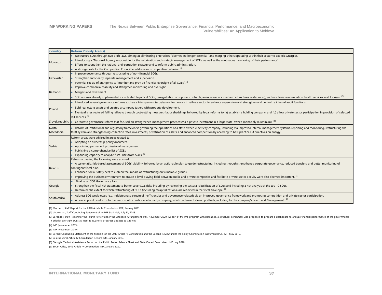#### **IMF WORKING PAPERS** The Nexus Between Public Enterprise Governance, Financial Performance, and Macroeconomic Vulnerabilities: An Application to Moldova

| <b>Country</b>  | <b>Reform Priority Area(s)</b>                                                                                                                                                                                             |
|-----------------|----------------------------------------------------------------------------------------------------------------------------------------------------------------------------------------------------------------------------|
| Morocco         | Restructure SOEs through two draft laws, aiming at eliminating enterprises "deemed no longer essential" and merging others operating within their sector to exploit synergies.                                             |
|                 | Introducing a "National Agency responsible for the valorization and strategic management of SOEs, as well as the continuous monitoring of their performance".                                                              |
|                 | Efforts to strengthen the national anti-corruption strategy and to reform public administration.                                                                                                                           |
|                 | A stronger role for the Competition Council to address anti-competitive behavior. <sup>[1]</sup>                                                                                                                           |
|                 | Improve governance through restructuring of non-financial SOEs.                                                                                                                                                            |
| Uzbekistan      | Strengthen and clearly separate management and supervision.                                                                                                                                                                |
|                 | Potential set-up of an Agency to "monitor and provide financial oversight of all SOEs". <sup>[2]</sup>                                                                                                                     |
|                 | Improve commercial viability and strengthen monitoring and oversight.                                                                                                                                                      |
| Barbados        | Mergers and divestment                                                                                                                                                                                                     |
|                 | SOE reforms already implemented include staff layoffs at SOEs, renegotiation of supplier contracts, an increase in some tariffs (bus fares, water rates), and new levies on sanitation, health services, and tourism. [3]  |
|                 | Introduced several governance reforms such as a Management by objective framework in railway sector to enhance supervision and strengthen and centralize internal audit functions.                                         |
| Poland          | Sold real estate assets and created a company tasked with property development.                                                                                                                                            |
|                 | Eventually restructured failing railways through cost-cutting measures (labor shedding), followed by legal reforms to (a) establish a holding company, and (b) allow private sector participation in provision of selected |
|                 | rail services. [4]                                                                                                                                                                                                         |
| Slovak republic | Corporate governance reform that focused on strengthened management practices via a private investment in a large state-owned monopoly (aluminum). [5]                                                                     |
| North           | Reform of institutional and requlatory frameworks governing the operations of a state owned electricity company, including via improved internal management systems, reporting and monitoring, restructuring the           |
| Macedonia       | tariff system and strengthening collection rates, investments, privatization of assets, and enhanced competition by acceding to best practice EU directives on energy.                                                     |
|                 | Reform areas were advised in areas related to:                                                                                                                                                                             |
|                 | Adopting an ownership policy document.                                                                                                                                                                                     |
| Serbia          | Appointing permanent professional management.                                                                                                                                                                              |
|                 | Publishing a comprehensive list of SOEs.                                                                                                                                                                                   |
|                 | Expanding capacity to analyze fiscal risks from SOEs. [6]                                                                                                                                                                  |
| <b>Belarus</b>  | Reforms covering the following were advised:                                                                                                                                                                               |
|                 | A systematic, risk-based assessment of SOEs' viability, followed by an actionable plan to quide restructuring, including through strengthened corporate governance, reduced transfers, and better monitoring of            |
|                 | contingent fiscal risks.                                                                                                                                                                                                   |
|                 | Enhanced social safety nets to cushion the impact of restructuring on vulnerable groups.                                                                                                                                   |
|                 | Improving the business environment to ensure a level playing field between public and private companies and facilitate private sector activity were also deemed important. [7]                                             |
| Georgia         | Finalize an SOE Governance Law.                                                                                                                                                                                            |
|                 | Strengthen the fiscal risk statement to better cover SOE risks, including by reviewing the sectoral classification of SOEs and including a risk analysis of the top 10 SOEs.                                               |
|                 | Determine the extent to which restructuring of SOEs (including recapitalizations) are reflected in the fiscal envelope. [8]                                                                                                |
| South Africa    | Address SOE weaknesses (e.g. indebtedness, structural inefficiencies and governance-related) via an improved governance framework and promoting competition and private sector participation.                              |
|                 | A case in point is reforms to the macro-critical national electricity company, which underwent clean up efforts, including for the company's Board and Management. [9]                                                     |

[1] Morocco, Staff Report for the 2020 Article IV Consultation. IMF, January 2021.

[2] Uzbekistan, Staff Concluding Statement of an IMF Staff Visit, July 31, 2018.

[3] Barbados, Staff Report for the Fourth Review under the Extended Arrangement. IMF, November 2020. As part of the IMF program with Barbados, a structural benchmark was proposed to prepare a dashboard to analyze financial 19 priority oversight SOEs as input to quarterly progress updates to Cabinet.

[4] IMF (November 2019).

[5] IMF (November 2019).

[6] Serbia: Concluding Statement of the Mission for the 2019 Article IV Consultation and the Second Review under the Policy Coordination Instrument (PCI). IMF, May 2019.

[7] Belarus, 2018 Article IV Consultation Report. IMF, January 2019.

[8] Georgia, Technical Assistance Report on the Public Sector Balance Sheet and State Owned Enterprises. IMF, July 2020.

[9] South Africa, 2019 Article IV Consultation. IMF, January 2020.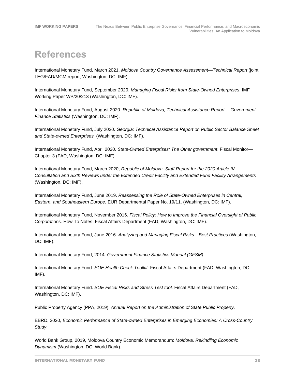### **References**

International Monetary Fund, March 2021. *Moldova Country Governance Assessment—Technical Report* (joint LEG/FAD/MCM report, Washington, DC: IMF).

International Monetary Fund, September 2020. *Managing Fiscal Risks from State-Owned Enterprises*. IMF Working Paper WP/20/213 (Washington, DC: IMF).

International Monetary Fund, August 2020. *Republic of Moldova, Technical Assistance Report— Government Finance Statistics* (Washington, DC: IMF).

International Monetary Fund, July 2020. *Georgia: Technical Assistance Report on Public Sector Balance Sheet and State-owned Enterprises.* (Washington, DC: IMF).

International Monetary Fund, April 2020. *State-Owned Enterprises: The Other government*. Fiscal Monitor— Chapter 3 (FAD, Washington, DC: IMF).

International Monetary Fund, March 2020, *Republic of Moldova, Staff Report for the 2020 Article IV Consultation and Sixth Reviews under the Extended Credit Facility and Extended Fund Facility Arrangements* (Washington, DC: IMF).

International Monetary Fund, June 2019. *Reassessing the Role of State-Owned Enterprises in Central, Eastern, and Southeastern Europe.* EUR Departmental Paper No. 19/11. (Washington, DC: IMF).

International Monetary Fund, November 2016. *Fiscal Policy: How to Improve the Financial Oversight of Public Corporations.* How To Notes. Fiscal Affairs Department (FAD, Washington, DC: IMF).

International Monetary Fund, June 2016. *Analyzing and Managing Fiscal Risks—Best Practices* (Washington, DC: IMF).

International Monetary Fund, 2014. *Government Finance Statistics Manual (GFSM)*.

International Monetary Fund. *SOE Health Check Toolkit.* Fiscal Affairs Department (FAD, Washington, DC: IMF).

International Monetary Fund. *SOE Fiscal Risks and Stress Test tool.* Fiscal Affairs Department (FAD, Washington, DC: IMF).

Public Property Agency (PPA, 2019). *Annual Report on the Administration of State Public Property.*

EBRD, 2020, *Economic Performance of State-owned Enterprises in Emerging Economies: A Cross-Country Study*.

World Bank Group, 2019, Moldova Country Economic Memorandum: *Moldova, Rekindling Economic Dynamism* (Washington, DC: World Bank).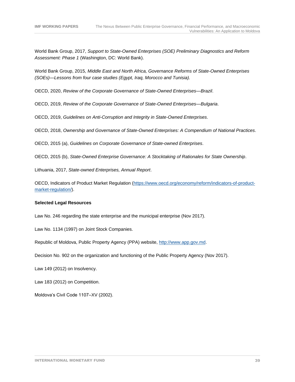World Bank Group, 2017, *Support to State-Owned Enterprises (SOE) Preliminary Diagnostics and Reform Assessment: Phase 1* (Washington, DC: World Bank).

World Bank Group, 2015, *Middle East and North Africa, Governance Reforms of State-Owned Enterprises (SOEs)—Lessons from four case studies (Egypt, Iraq, Morocco and Tunisia).*

OECD, 2020, *Review of the Corporate Governance of State-Owned Enterprises—Brazil*.

OECD, 2019, *Review of the Corporate Governance of State-Owned Enterprises—Bulgaria*.

OECD, 2019, *Guidelines on Anti-Corruption and Integrity in State-Owned Enterprises*.

OECD, 2018, *Ownership and Governance of State-Owned Enterprises: A Compendium of National Practices*.

OECD, 2015 (a), *Guidelines on Corporate Governance of State-owned Enterprises*.

OECD, 2015 (b), *State-Owned Enterprise Governance: A Stocktaking of Rationales for State Ownership*.

Lithuania, 2017, *State-owned Enterprises, Annual Report*.

OECD, Indicators of Product Market Regulation [\(https://www.oecd.org/economy/reform/indicators-of-product](https://www.oecd.org/economy/reform/indicators-of-product-market-regulation/)[market-regulation/\)](https://www.oecd.org/economy/reform/indicators-of-product-market-regulation/).

#### **Selected Legal Resources**

Law No. 246 regarding the state enterprise and the municipal enterprise (Nov 2017).

Law No. 1134 (1997) on Joint Stock Companies.

Republic of Moldova, Public Property Agency (PPA) website, [http://www.app.gov.md.](http://www.app.gov.md/)

Decision No. 902 on the organization and functioning of the Public Property Agency (Nov 2017).

Law 149 (2012) on Insolvency.

Law 183 (2012) on Competition.

Moldova's Civil Code 1107–XV (2002).